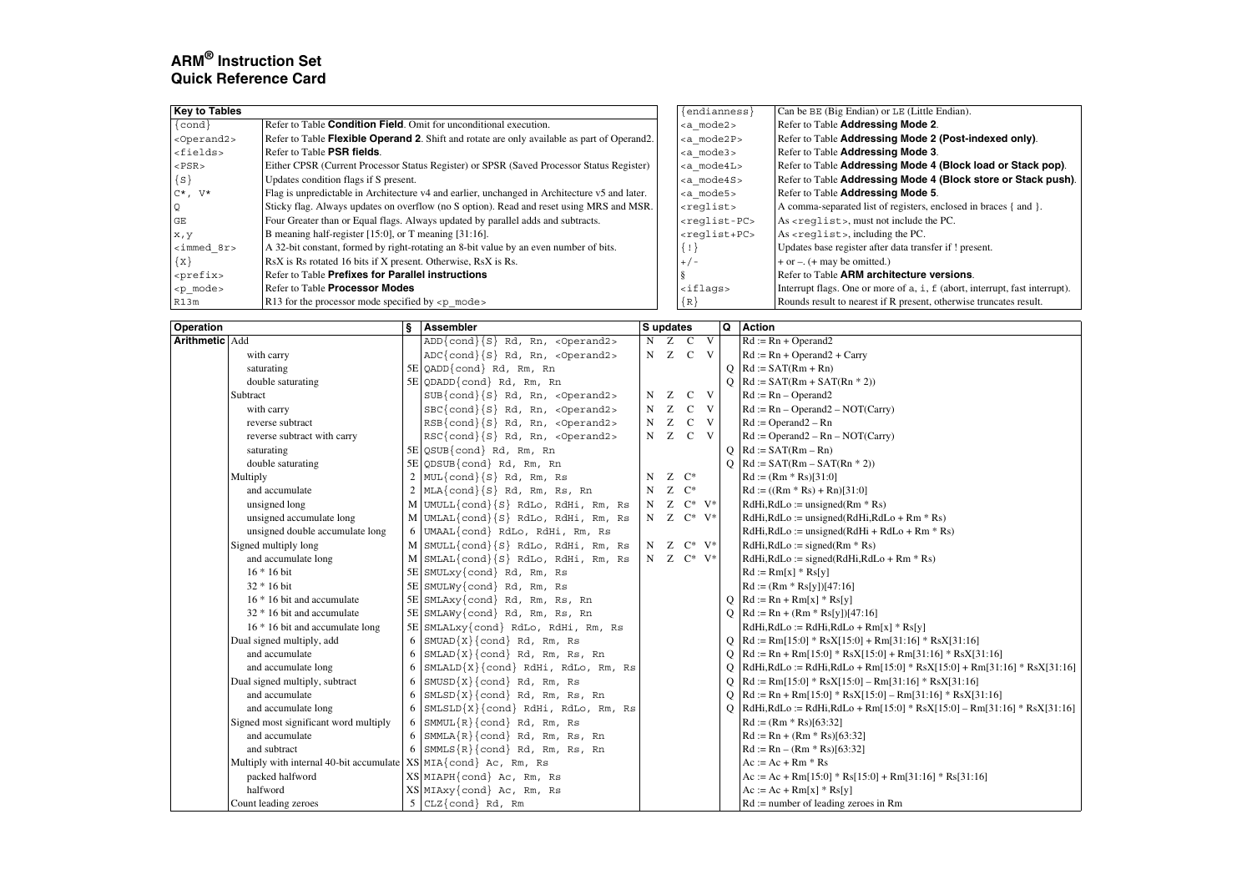# **ARM® Instruction Set Quick Reference Card**

| <b>Key to Tables</b>  |                                                                                               | $\{endiances\}$           | Can be BE (Big Endian) or LE (Little Endian).                               |
|-----------------------|-----------------------------------------------------------------------------------------------|---------------------------|-----------------------------------------------------------------------------|
| $\{\text{cond}\}\$    | Refer to Table <b>Condition Field</b> . Omit for unconditional execution.                     | <a_mode2></a_mode2>       | Refer to Table Addressing Mode 2.                                           |
| <operand2></operand2> | Refer to Table Flexible Operand 2. Shift and rotate are only available as part of Operand 2.  | <a mode2p=""></a>         | Refer to Table Addressing Mode 2 (Post-indexed only).                       |
| $<$ fields>           | Refer to Table PSR fields.                                                                    | <a mode3=""></a>          | Refer to Table Addressing Mode 3.                                           |
| $<$ PSR $>$           | Either CPSR (Current Processor Status Register) or SPSR (Saved Processor Status Register)     | $ mode4L$                 | Refer to Table Addressing Mode 4 (Block load or Stack pop).                 |
| $\{S\}$               | Updates condition flags if S present.                                                         | ka mode4S>                | Refer to Table Addressing Mode 4 (Block store or Stack push).               |
| $C^*$ , $V^*$         | Flag is unpredictable in Architecture v4 and earlier, unchanged in Architecture v5 and later. | <a_mode5></a_mode5>       | Refer to Table Addressing Mode 5.                                           |
| Q                     | Sticky flag. Always updates on overflow (no S option). Read and reset using MRS and MSR.      | $<$ reqlist>              | A comma-separated list of registers, enclosed in braces { and }.            |
| <b>GE</b>             | Four Greater than or Equal flags. Always updated by parallel adds and subtracts.              | <reqlist-pc></reqlist-pc> | As <reglist>, must not include the PC.</reglist>                            |
| x, y                  | B meaning half-register [15:0], or T meaning [31:16].                                         | <reglist+pc></reglist+pc> | $As <$ reqlist>, including the PC.                                          |
| $\langle$ immed_8r>   | A 32-bit constant, formed by right-rotating an 8-bit value by an even number of bits.         | $\{$ $\}$                 | Updates base register after data transfer if ! present.                     |
| $\{x\}$               | RsX is Rs rotated 16 bits if X present. Otherwise, RsX is Rs.                                 | $+/-$                     | $+$ or $-$ . ( $+$ may be omitted.)                                         |
| <prefix></prefix>     | Refer to Table Prefixes for Parallel instructions                                             |                           | Refer to Table ARM architecture versions.                                   |
| - <p_mode></p_mode>   | Refer to Table <b>Processor Modes</b>                                                         | $\langle$ iflags>         | Interrupt flags. One or more of a, i, f (abort, interrupt, fast interrupt). |
| R13m                  | R13 for the processor mode specified by $\langle p \rangle$ modes                             | ${R}$                     | Rounds result to nearest if R present, otherwise truncates result.          |

| <b>Operation</b>      |                                                                                | s | Assembler                                           | S updates   |   |                         |              | Q        | <b>Action</b>                                                                  |
|-----------------------|--------------------------------------------------------------------------------|---|-----------------------------------------------------|-------------|---|-------------------------|--------------|----------|--------------------------------------------------------------------------------|
| <b>Arithmetic Add</b> |                                                                                |   | $ADD{cond}{S}$ Rd, Rn, <0perand2>                   | N           |   | Z C V                   |              |          | $Rd := Rn + Operand2$                                                          |
|                       | with carry                                                                     |   | $ADC{cond}{S}$ Rd, Rn, <0perand2>                   |             |   | N Z C V                 |              |          | $Rd := Rn + Operand2 + Carry$                                                  |
|                       | saturating                                                                     |   | $5E$ OADD {cond} Rd, Rm, Rn                         |             |   |                         |              |          | $Q$ Rd := SAT(Rm + Rn)                                                         |
|                       | double saturating                                                              |   | 5E QDADD{cond} Rd, Rm, Rn                           |             |   |                         |              |          | $Q \mid Rd := SAT(Rm + SAT(Rn * 2))$                                           |
|                       | Subtract                                                                       |   | $SUB{cond}{S}$ Rd, Rn, <0perand2>                   | N           | Ζ |                         | $C$ V        |          | $Rd := Rn - Operand2$                                                          |
|                       | with carry                                                                     |   | $\text{SBC}\{\text{cond}\}\{S\}$ Rd, Rn, <0perand2> | N           | Z | $\mathbf{C}$            | $\mathbf{V}$ |          | $Rd := Rn - Operand2 - NOT(Carry)$                                             |
|                       | reverse subtract                                                               |   | $RSB\{\text{cond}\}\{S\}$ Rd, Rn, <0perand2>        | N           | Z | $\mathbf{C}$            | $\mathbf{V}$ |          | $Rd := Operand2 - Rn$                                                          |
|                       | reverse subtract with carry                                                    |   | $RSC\{cond\{S\} Rd, Rn, <0 per and 2>$              | N           | Z |                         | $C$ V        |          | $Rd :=$ Operand2 – $Rn - NOT(Carry)$                                           |
|                       | saturating                                                                     |   | 5E QSUB{cond} Rd, Rm, Rn                            |             |   |                         |              | $\circ$  | $Rd := SAT(Rm - Rn)$                                                           |
|                       | double saturating                                                              |   | $5E$ QDSUB{cond} Rd, Rm, Rn                         |             |   |                         |              | $\Omega$ | $Rd := SAT(Rm - SAT(Rn * 2))$                                                  |
|                       | Multiply                                                                       |   | $2$ MUL{cond}{S} Rd, Rm, Rs                         | N           |   | $Z \quad C^*$           |              |          | $Rd := (Rm * Rs)[31:0]$                                                        |
|                       | and accumulate                                                                 |   | $2 \text{MLA}\{\text{cond}\}\{S\}$ Rd, Rm, Rs, Rn   | N           |   | $Z \quad C^*$           |              |          | $Rd := ((Rm * Rs) + Rn)[31:0]$                                                 |
|                       | unsigned long                                                                  |   | M UMULL{cond}{S} RdLo, RdHi, Rm, Rs                 | N           |   | $Z \quad C^* \quad V^*$ |              |          | $RdHi, RdLo := unsigned(Rm * Rs)$                                              |
|                       | unsigned accumulate long                                                       |   | M UMLAL{cond}{S} RdLo, RdHi, Rm, Rs                 | N           |   | $Z \quad C^* \quad V^*$ |              |          | $RdHi, RdLo :=$ unsigned( $RdHi, RdLo + Rm * Rs$ )                             |
|                       | unsigned double accumulate long                                                |   | 6 UMAAL{cond} RdLo, RdHi, Rm, Rs                    |             |   |                         |              |          | $RdHi, RdLo :=$ unsigned( $RdHi + RdLo + Rm * Rs$ )                            |
|                       | Signed multiply long                                                           |   | M SMULL{cond}{S} RdLo, RdHi, Rm, Rs                 | $\mathbf N$ |   | $Z \quad C^* \quad V^*$ |              |          | $RdHi, RdLo := signed(Rm * Rs)$                                                |
|                       | and accumulate long                                                            |   | M SMLAL{cond}{S} RdLo, RdHi, Rm, Rs                 | N           |   | $Z \quad C^* \quad V^*$ |              |          | $RdHi, RdLo := signed(RdHi, RdLo + Rm * Rs)$                                   |
|                       | $16 * 16$ bit                                                                  |   | $5E$ SMULxy{cond} Rd, Rm, Rs                        |             |   |                         |              |          | $Rd := Rm[x] * Rs[y]$                                                          |
|                       | 32 * 16 bit                                                                    |   | $5E$ SMULWy $\{cond\}$ Rd, Rm, Rs                   |             |   |                         |              |          | $Rd := (Rm * Rs[y])[47:16]$                                                    |
|                       | 16 * 16 bit and accumulate                                                     |   | 5E SMLAxy{cond} Rd, Rm, Rs, Rn                      |             |   |                         |              |          | Q   Rd := $Rn + Rm[x] * Rs[y]$                                                 |
|                       | 32 * 16 bit and accumulate                                                     |   | 5E SMLAWy{cond} Rd, Rm, Rs, Rn                      |             |   |                         |              |          | Q   Rd := Rn + (Rm * Rs[y])[47:16]                                             |
|                       | 16 * 16 bit and accumulate long                                                |   | 5E SMLALxy{cond} RdLo, RdHi, Rm, Rs                 |             |   |                         |              |          | $RdHi, RdLo := RdHi, RdLo + Rm[x] * Rs[y]$                                     |
|                       | Dual signed multiply, add                                                      |   | $SMUAD{X}{cond}$ cond $Rd$ , Rm, Rs                 |             |   |                         |              |          | $Rd := Rm[15:0] * RsX[15:0] + Rm[31:16] * RsX[31:16]$                          |
|                       | and accumulate                                                                 | 6 | $SMLAD{X}{cond}$ Rd, Rm, Rs, Rn                     |             |   |                         |              |          | $Rd := Rn + Rm[15:0] * RsX[15:0] + Rm[31:16] * RsX[31:16]$                     |
|                       | and accumulate long                                                            |   | $SMLALD{X}{cond} RdHi$ , RdLo, Rm, Rs               |             |   |                         |              | 0        | $RdHi, RdLo := RdHi, RdLo + Rm[15:0] * RsX[15:0] + Rm[31:16] * RsX[31:16]$     |
|                       | Dual signed multiply, subtract                                                 | 6 | $SMUSD{X}{cond}$ Rd, Rm, Rs                         |             |   |                         |              |          | Q   Rd := Rm[15:0] * RsX[15:0] - Rm[31:16] * RsX[31:16]                        |
|                       | and accumulate                                                                 | 6 | $SMLSD{X}{cond}$ Rd, Rm, Rs, Rn                     |             |   |                         |              |          | Q   Rd := Rn + Rm[15:0] * RsX[15:0] – Rm[31:16] * RsX[31:16]                   |
|                       | and accumulate long                                                            |   | 6 SMLSLD $\{X\}$ {cond} RdHi, RdLo, Rm, Rs          |             |   |                         |              |          | Q   RdHi, RdLo := RdHi, RdLo + Rm [15:0] * RsX[15:0] - Rm [31:16] * RsX[31:16] |
|                       | Signed most significant word multiply                                          |   | $6$ SMMUL $\{R\}$ (cond) Rd, Rm, Rs                 |             |   |                         |              |          | $Rd := (Rm * Rs)[63:32]$                                                       |
|                       | and accumulate                                                                 |   | $6$ SMMLA $\{R\}$ (cond) Rd, Rm, Rs, Rn             |             |   |                         |              |          | $Rd := Rn + (Rm * Rs)[63:32]$                                                  |
|                       | and subtract                                                                   |   | 6 SMMLS ${R}$ $\{cond\}$ Rd, Rm, Rs, Rn             |             |   |                         |              |          | $Rd := Rn - (Rm * Rs)[63:32]$                                                  |
|                       | Multiply with internal 40-bit accumulate $ XS MIA\{\text{cond}\}\)$ Ac, Rm, Rs |   |                                                     |             |   |                         |              |          | $Ac := Ac + Rm * Rs$                                                           |
|                       | packed halfword                                                                |   | $XS$ MIAPH $\{cond\}$ Ac, Rm, Rs                    |             |   |                         |              |          | Ac := Ac + Rm[15:0] * Rs[15:0] + Rm[31:16] * Rs[31:16]                         |
|                       | halfword                                                                       |   | $XS$ MIAxy{cond} Ac, Rm, Rs                         |             |   |                         |              |          | $Ac := Ac + Rm[x] * Rs[y]$                                                     |
|                       | Count leading zeroes                                                           |   | $5$ CLZ{cond} Rd, Rm                                |             |   |                         |              |          | $Rd :=$ number of leading zeroes in Rm                                         |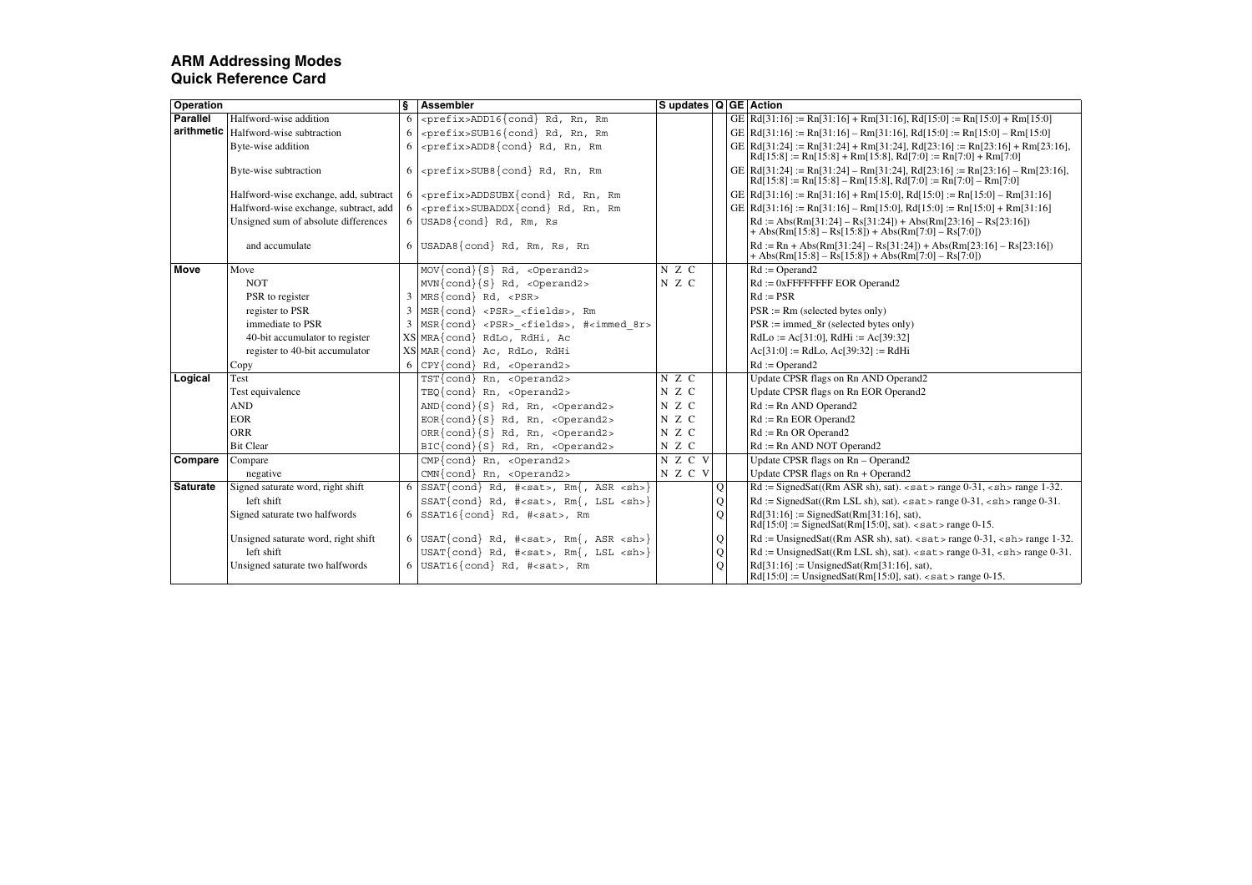| Operation       |                                        | ŝ | <b>Assembler</b>                                                  | Supdates Q GE Action |   |                                                                                                                                                 |
|-----------------|----------------------------------------|---|-------------------------------------------------------------------|----------------------|---|-------------------------------------------------------------------------------------------------------------------------------------------------|
| <b>Parallel</b> | Halfword-wise addition                 | 6 | <prefix>ADD16{cond} Rd, Rn, Rm</prefix>                           |                      |   | GE Rd[31:16] := Rn[31:16] + Rm[31:16], Rd[15:0] := Rn[15:0] + Rm[15:0]                                                                          |
|                 | arithmetic   Halfword-wise subtraction | 6 | <prefix>SUB16{cond} Rd, Rn, Rm</prefix>                           |                      |   | GE Rd[31:16] := Rn[31:16] - Rm[31:16], Rd[15:0] := Rn[15:0] - Rm[15:0]                                                                          |
|                 | Byte-wise addition                     | 6 | <prefix>ADD8{cond} Rd, Rn, Rm</prefix>                            |                      |   | GE   Rd[31:24] := Rn[31:24] + Rm[31:24], Rd[23:16] := Rn[23:16] + Rm[23:16],<br>$Rd[15:8] := Rn[15:8] + Rm[15:8], Rd[7:0] := Rn[7:0] + Rm[7:0]$ |
|                 | Byte-wise subtraction                  | 6 | <prefix>SUB8{cond} Rd, Rn, Rm</prefix>                            |                      |   | GE Rd[31:24] := Rn[31:24] - Rm[31:24], Rd[23:16] := Rn[23:16] - Rm[23:16],<br>$Rd[15:8] := Rn[15:8] - Rm[15:8], Rd[7:0] := Rn[7:0] - Rm[7:0]$   |
|                 | Halfword-wise exchange, add, subtract  |   | <prefix>ADDSUBX{cond} Rd, Rn, Rm</prefix>                         |                      |   | GE   Rd[31:16] := Rn[31:16] + Rm[15:0], Rd[15:0] := Rn[15:0] - Rm[31:16]                                                                        |
|                 | Halfword-wise exchange, subtract, add  |   | <prefix>SUBADDX{cond} Rd, Rn, Rm</prefix>                         |                      |   | GE   Rd[31:16] := Rn[31:16] - Rm[15:0], Rd[15:0] := Rn[15:0] + Rm[31:16]                                                                        |
|                 | Unsigned sum of absolute differences   |   | USAD8{cond} Rd, Rm, Rs                                            |                      |   | $Rd := Abs(Rm[31:24] - Rs[31:24]) + Abs(Rm[23:16] - Rs[23:16])$<br>+ Abs(Rm[15:8] – Rs[15:8]) + Abs(Rm[7:0] – Rs[7:0])                          |
|                 | and accumulate                         |   | $6$ USADA8 {cond} Rd, Rm, Rs, Rn                                  |                      |   | $Rd := Rn + Abs(Rm[31:24] - Rs[31:24]) + Abs(Rm[23:16] - Rs[23:16])$<br>+ Abs(Rm[15:8] – Rs[15:8]) + Abs(Rm[7:0] – Rs[7:0])                     |
| <b>Move</b>     | Move                                   |   | MOV{cond}{S} Rd, <operand2></operand2>                            | N Z C                |   | $Rd :=$ Operand2                                                                                                                                |
|                 | <b>NOT</b>                             |   | $MVN\{cond\{S\}$ Rd, <0perand2>                                   | N Z C                |   | $Rd := 0x$ FFFFFFFFFE EOR Operand2                                                                                                              |
|                 | PSR to register                        |   | $3$ MRS {cond} Rd, <psr></psr>                                    |                      |   | $Rd := PSR$                                                                                                                                     |
|                 | register to PSR                        | 3 | $MSR{cond} < PSR > $ , Rm                                         |                      |   | $PSR := Rm$ (selected bytes only)                                                                                                               |
|                 | immediate to PSR                       |   | 3 MSR{cond} <psr> <fields>, #<immed 8r=""></immed></fields></psr> |                      |   | $PSR := \text{immed } 8r \text{ (selected bytes only)}$                                                                                         |
|                 | 40-bit accumulator to register         |   | XS MRA{cond} RdLo, RdHi, Ac                                       |                      |   | $RdLo := Ac[31:0], RdHi := Ac[39:32]$                                                                                                           |
|                 | register to 40-bit accumulator         |   | XS MAR{cond} Ac, RdLo, RdHi                                       |                      |   | $Ac[31:0] := RdLo, Ac[39:32] := RdHi$                                                                                                           |
|                 | Copy                                   |   | $CPY\{\text{cond}\}\$ Rd, <0perand2>                              |                      |   | $Rd :=$ Operand2                                                                                                                                |
| Logical         | Test                                   |   | TST{cond} Rn, <operand2></operand2>                               | N Z C                |   | Update CPSR flags on Rn AND Operand2                                                                                                            |
|                 | Test equivalence                       |   | TEQ{cond} Rn, <operand2></operand2>                               | N Z C                |   | Update CPSR flags on Rn EOR Operand2                                                                                                            |
|                 | <b>AND</b>                             |   | $AND{cond}{S}$ , Rd, Rn, <0perand2>                               | N Z C                |   | $Rd := Rn$ AND Operand2                                                                                                                         |
|                 | <b>EOR</b>                             |   | $EOR{cond}{S}$ Rd, Rn, <0perand2>                                 | N Z C                |   | $Rd := Rn EOR$ Operand2                                                                                                                         |
|                 | <b>ORR</b>                             |   | $ORR{cond}{S}$ Rd, Rn, <0perand2>                                 | N Z C                |   | $Rd := Rn$ OR Operand2                                                                                                                          |
|                 | <b>Bit Clear</b>                       |   | BIC{cond}{S} Rd, Rn, <operand2></operand2>                        | N Z C                |   | $Rd := Rn$ AND NOT Operand2                                                                                                                     |
| Compare         | Compare                                |   | $CMP{cond}$ Rn, <operand2></operand2>                             | N Z C V              |   | Update CPSR flags on Rn - Operand2                                                                                                              |
|                 | negative                               |   | $CMN\{\text{cond}\}\$ Rn, <operand2></operand2>                   | N Z C V              |   | Update CPSR flags on Rn + Operand2                                                                                                              |
| <b>Saturate</b> | Signed saturate word, right shift      | 6 | $SSAT\{cond\}$ Rd, # <sat>, Rm{, ASR <sh>}</sh></sat>             |                      | Q | $Rd :=$ SignedSat((Rm ASR sh), sat). <sat> range 0-31, <sh> range 1-32.</sh></sat>                                                              |
|                 | left shift                             |   | $SSAT\{cond\}$ Rd, # <sat>, Rm{, LSL <sh>}</sh></sat>             |                      | Q | $Rd :=$ SignedSat((Rm LSL sh), sat). <sat> range 0-31, <sh> range 0-31.</sh></sat>                                                              |
|                 | Signed saturate two halfwords          | 6 | SSAT16{cond} Rd, # <sat>, Rm</sat>                                |                      | Q | $Rd[31:16] :=$ SignedSat $(Rm[31:16], sat)$ ,<br>$Rd[15:0] :=$ SignedSat $(Rm[15:0], sat)$ . <sat> range 0-15.</sat>                            |
|                 | Unsigned saturate word, right shift    |   | 6 $USAT\{cond\}$ Rd, # <sat>, Rm{, ASR <sh>}</sh></sat>           |                      | Q | $Rd :=$ UnsignedSat(( $Rm$ ASR sh), sat). <sat> range 0-31, <sh> range 1-32.</sh></sat>                                                         |
|                 | left shift                             |   | $USAT\{cond\}$ Rd, # <sat>, Rm{, LSL <sh>}</sh></sat>             |                      | Q | $Rd := UnsignedSat((Rm LSL sh), sat)$ . <sat> range 0-31, <sh> range 0-31.</sh></sat>                                                           |
|                 | Unsigned saturate two halfwords        |   | $6$ USAT16{cond} Rd, # <sat>, Rm</sat>                            |                      | O | $Rd[31:16] :=$ UnsignedSat $(Rm[31:16], sat)$ ,<br>$Rd[15:0] :=$ UnsignedSat $(Rm[15:0], \text{sat})$ . <sat> range 0-15.</sat>                 |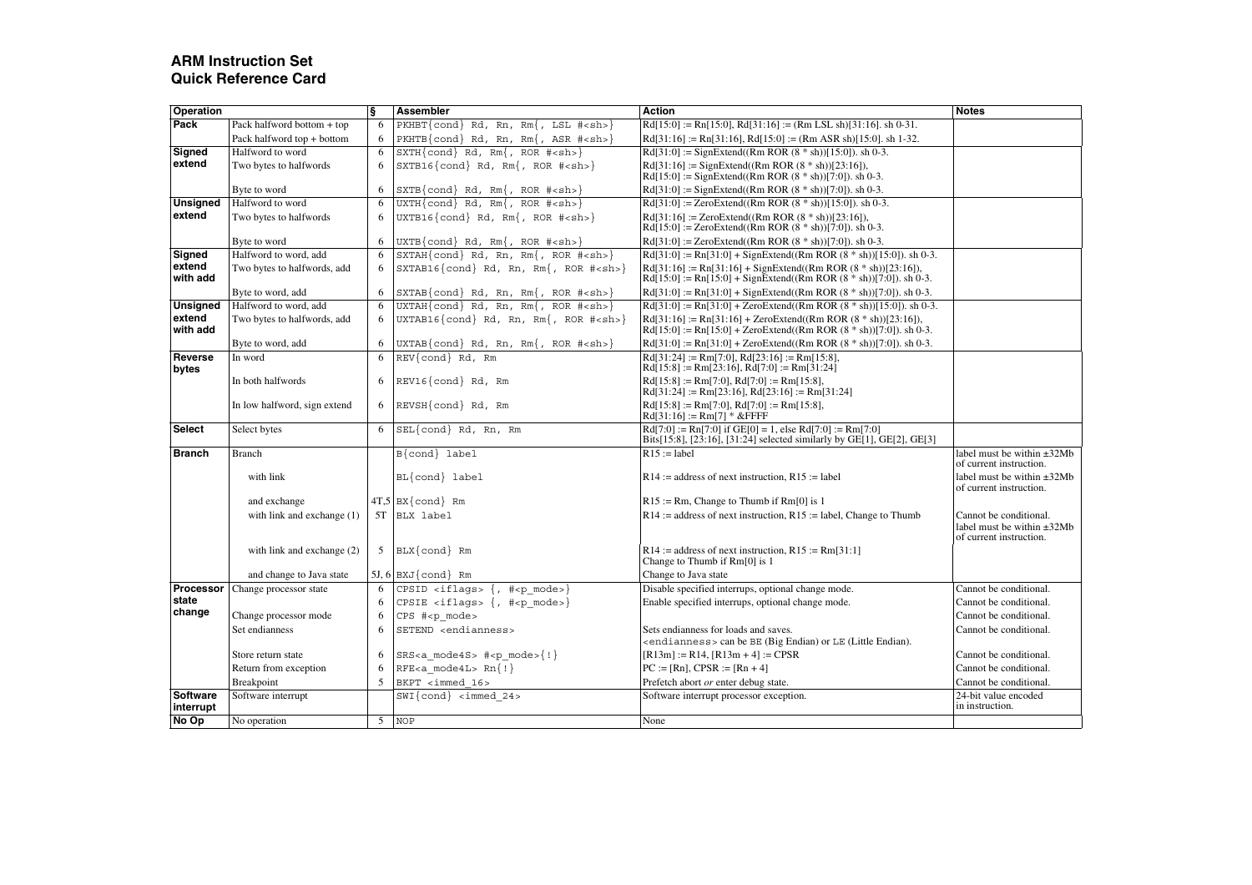# **ARM Instruction Set Quick Reference Card**

| Pack<br>$Rd[15:0] := Rn[15:0], Rd[31:16] := (Rm LSL sh)[31:16], sh 0-31.$<br>Pack halfword bottom + top<br>$PKHBT\{cond\}$ Rd, Rn, Rm{, LSL # <sh>}<br/>6<br/>Pack halfword top + bottom<br/>6<br/>PKHTB{cond} Rd, Rn, Rm{, ASR #<sh>}<br/><math>Rd[31:16] := Rn[31:16]</math>, <math>Rd[15:0] := (Rm ASR sh)[15:0]</math>. sh 1-32.<br/><math>Rd[31:0] :=</math>SignExtend((Rm ROR <math>(8 * sh)</math>)[15:0]), sh 0-3.<br/>Signed<br/>Halfword to word<br/><math>SXTH\{cond\}</math> Rd, Rm{, ROR #<sh>}<br/>6<br/>extend<br/>6<br/><math>\texttt{SXTB16}\{\texttt{cond}\}\</math> Rd, Rm{, ROR #<sh>}<br/><math>Rd[31:16] :=</math> SignExtend((Rm ROR <math>(8 * sh)</math>)[23:16]),<br/>Two bytes to halfwords<br/><math>Rd[15:0] :=</math> SignExtend((Rm ROR <math>(8 * sh)</math>)[7:0]). sh 0-3.<br/>Byte to word<br/>6<br/><math>Rd[31:0] :=</math> SignExtend((Rm ROR <math>(8 * sh)</math>)[7:0]). sh 0-3.<br/>SXTB{cond} Rd, Rm{, ROR #<sh>}<br/>Halfword to word<br/><math>UXTH\{cond\}</math> Rd, Rm{, ROR #<sh>}<br/><math>Rd[31:0] := ZeroExtend((Rm ROR (8 * sh))[15:0])</math>. sh 0-3.<br/><b>Unsigned</b><br/>6<br/>extend<br/>Two bytes to halfwords<br/>6<br/><math>UXTB16{cond}</math> Rd, Rm{, ROR #<sh>}<br/><math>Rd[31:16] := ZeroExtend((Rm ROR (8 * sh))[23:16]),</math><br/><math>Rd[15:0] := ZeroExtend((Rm ROR (8 * sh))[7:0])</math>. sh 0-3.<br/>Byte to word<br/>6<br/><math>UXTB{cond}</math> Rd, Rm{, ROR #<sh>}<br/><math>Rd[31:0] := ZeroExtend((Rm ROR (8 * sh))[7:0])</math>. sh 0-3.<br/><math>\text{SXTAH}\{\text{cond}\}\</math> Rd, Rn, Rm{, ROR #<sh>}<br/>Halfword to word, add<br/><math>Rd[31:0] := Rn[31:0] + SignExtend((Rm ROR (8 * sh))[15:0])</math>. sh 0-3.<br/>Signed<br/>6<br/>extend<br/>6<br/><math>\texttt{SXTABLE} \{\texttt{cond}\}\</math> Rd, Rn, Rm{, ROR #<sh>}<br/>Two bytes to halfwords, add<br/><math>Rd[31:16] := Rn[31:16] + SignExtend((Rm ROR (8 * sh))[23:16]),</math><br/>with add<br/><math>Rd[15:0] := Rn[15:0] + SignExtend((Rm ROR (8 * sh))[7:0])</math>. sh 0-3.<br/>6<br/><math>Rd[31:0] := Rn[31:0] + SignExtend((Rm ROR (8 * sh))[7:0]) \cdot sh 0-3.</math><br/>Byte to word, add<br/><math>\text{SXTABLE}\{\text{cond}\}\</math> Rd, Rn, Rm{, ROR #<sh>}<br/><b>Unsigned</b><br/>Halfword to word, add<br/><math>UXTAH\{cond\}</math> Rd, Rn, Rm<math>\{</math>,<br/><math>Rd[31:0] := Rn[31:0] + ZeroExtend(Rm ROR (8 * sh))[15:0])</math>. sh 0-3.<br/>6<br/><math>ROR</math> <math>#&lt;</math>sh&gt;<math>\}</math><br/>extend<br/>6<br/>UXTAB16{cond} Rd, Rn, Rm{, ROR #<sh>}<br/>Two bytes to halfwords, add<br/><math>Rd[31:16] := Rn[31:16] + ZeroExtend((Rm ROR (8 * sh))[23:16]),</math><br/>with add<br/><math>Rd[15:0] := Rn[15:0] + ZeroExtend((Rm ROR (8 * sh))[7:0])</math>. sh 0-3.<br/>6<br/><math>UXTABLE{cond}</math> Rd, Rn, Rm{, ROR #<sh>}<br/><math>Rd[31:0] := Rn[31:0] + ZeroExtend((Rm ROR (8 * sh))[7:0])</math>. sh 0-3.<br/>Byte to word, add<br/>REV{cond} Rd, Rm<br/><math>Rd[31:24] := Rm[7:0], Rd[23:16] := Rm[15:8],</math><br/><b>Reverse</b><br/>In word<br/>6<br/><math>Rd[15:8] := Rm[23:16], Rd[7:0] := Rm[31:24]</math><br/>bytes<br/>In both halfwords<br/><math>REVI6{cond}</math> Rd, Rm<br/><math>Rd[15:8] := Rm[7:0], Rd[7:0] := Rm[15:8],</math><br/>6<br/><math>Rd[31:24] := Rm[23:16]</math>, <math>Rd[23:16] := Rm[31:24]</math><br/>In low halfword, sign extend<br/>6<br/>REVSH{cond} Rd, Rm<br/><math>Rd[15:8] := Rm[7:0], Rd[7:0] := Rm[15:8],</math><br/><math>Rd[31:16] := Rm[7] * &amp; FFFF</math><br/><math>Rd[7:0] := Rn[7:0]</math> if <math>GE[0] = 1</math>, else <math>Rd[7:0] := Rm[7:0]</math><br/><b>Select</b><br/>Select bytes<br/>6<br/><math>SEL{cond}</math> Rd, Rn, Rm<br/>Bits[15:8], [23:16], [31:24] selected similarly by GE[1], GE[2], GE[3]<br/><b>Branch</b><br/><math>R15 :=</math>label<br/>label must be within <math>\pm 32Mb</math><br/><b>Branch</b><br/>B{cond} label<br/>of current instruction.<br/>with link<br/>BL{cond} label<br/><math>R14</math>: = address of next instruction, <math>R15</math>: = label<br/>label must be within <math>\pm 32Mb</math><br/>of current instruction.<br/><math>4T,5</math> BX {cond} Rm<br/><math>R15 := Rm</math>, Change to Thumb if <math>Rm[0]</math> is 1<br/>and exchange<br/>with link and exchange (1)<br/>5T BLX label<br/><math>R14</math>: = address of next instruction, <math>R15</math>: = label, Change to Thumb<br/>Cannot be conditional.<br/>label must be within <math>\pm 32Mb</math><br/>of current instruction.<br/>with link and exchange (2)<br/><math>BLX</math>{cond} Rm<br/><math>R14</math>: = address of next instruction, <math>R15</math>: = <math>Rm[31:1]</math><br/>5<br/>Change to Thumb if Rm[0] is 1<br/>and change to Java state<br/>5J, 6<br/><math>BXJ\</math>cond Rm<br/>Change to Java state<br/>Processor<br/><math>CPSID</math> <iflags> {, #<p_mode>}<br/>Disable specified interrups, optional change mode.<br/>Change processor state<br/>Cannot be conditional.<br/>6<br/>state<br/>Enable specified interrups, optional change mode.<br/>Cannot be conditional.<br/>6<br/>CPSIE <iflags> <math>\{ , # &lt; p \text{ mode} &gt; \}</math><br/>change<br/>Change processor mode<br/>CPS #<p mode=""><br/>Cannot be conditional.<br/>6<br/>SETEND <endianness><br/>Set endianness<br/>6<br/>Sets endianness for loads and saves.<br/>Cannot be conditional.<br/><endianness> can be BE (Big Endian) or LE (Little Endian).<br/><math>[R13m] := R14</math>, <math>[R13m + 4] := CPSR</math><br/>6<br/><math>SRS &lt; a</math> mode4S&gt; #<p mode="">{!}<br/>Cannot be conditional.<br/>Store return state<br/><math>RFE &lt; a</math> mode4L&gt; <math>Rn</math>{!}<br/><math>PC := [Rn], CPSR := [Rn + 4]</math><br/>Return from exception<br/>6<br/>Cannot be conditional.<br/>5<br/>Prefetch abort or enter debug state.<br/><b>Breakpoint</b><br/>BKPT <immed 16=""><br/>Cannot be conditional.<br/><b>Software</b><br/>24-bit value encoded<br/>Software interrupt<br/><math>SWI{cond} &lt; inmed 24</math><br/>Software interrupt processor exception.<br/>in instruction.<br/>interrupt<br/>No Op<br/>No operation<br/>5<br/><b>NOP</b><br/>None</immed></p></endianness></endianness></p></iflags></p_mode></iflags></sh></sh></sh></sh></sh></sh></sh></sh></sh></sh></sh></sh></sh> | Operation | ş | Assembler | <b>Action</b> | <b>Notes</b> |
|-----------------------------------------------------------------------------------------------------------------------------------------------------------------------------------------------------------------------------------------------------------------------------------------------------------------------------------------------------------------------------------------------------------------------------------------------------------------------------------------------------------------------------------------------------------------------------------------------------------------------------------------------------------------------------------------------------------------------------------------------------------------------------------------------------------------------------------------------------------------------------------------------------------------------------------------------------------------------------------------------------------------------------------------------------------------------------------------------------------------------------------------------------------------------------------------------------------------------------------------------------------------------------------------------------------------------------------------------------------------------------------------------------------------------------------------------------------------------------------------------------------------------------------------------------------------------------------------------------------------------------------------------------------------------------------------------------------------------------------------------------------------------------------------------------------------------------------------------------------------------------------------------------------------------------------------------------------------------------------------------------------------------------------------------------------------------------------------------------------------------------------------------------------------------------------------------------------------------------------------------------------------------------------------------------------------------------------------------------------------------------------------------------------------------------------------------------------------------------------------------------------------------------------------------------------------------------------------------------------------------------------------------------------------------------------------------------------------------------------------------------------------------------------------------------------------------------------------------------------------------------------------------------------------------------------------------------------------------------------------------------------------------------------------------------------------------------------------------------------------------------------------------------------------------------------------------------------------------------------------------------------------------------------------------------------------------------------------------------------------------------------------------------------------------------------------------------------------------------------------------------------------------------------------------------------------------------------------------------------------------------------------------------------------------------------------------------------------------------------------------------------------------------------------------------------------------------------------------------------------------------------------------------------------------------------------------------------------------------------------------------------------------------------------------------------------------------------------------------------------------------------------------------------------------------------------------------------------------------------------------------------------------------------------------------------------------------------------------------------------------------------------------------------------------------------------------------------------------------------------------------------------------------------------------------------------------------------------------------------------------------------------------------------------------------------------------------------------------------------------------------------------------------------------------------------------------------------------------------------------------------------------------------------------------------------------------------------------------------------------------------------------------------------------------------------------------------------------------------------------------------------------------------------------------------------------------------------------------------------------------------------------------------------------------------------------------------------------------------------------------------------------------------------------------------------------------------------------------------------------------------------------------------------------------------------------------------------------------------------------------------------------------------------------------------------------------------------------------------------------------------------------------------------------------------------------------------------------------------------------------------------------------------------------------------------------------------------------------------------------------------------------------------------------------------------------------------------------------------------------------------------------------------------------------------------------------------------------------------------------------------------------------------------------------------------------------------------------------------------------------|-----------|---|-----------|---------------|--------------|
|                                                                                                                                                                                                                                                                                                                                                                                                                                                                                                                                                                                                                                                                                                                                                                                                                                                                                                                                                                                                                                                                                                                                                                                                                                                                                                                                                                                                                                                                                                                                                                                                                                                                                                                                                                                                                                                                                                                                                                                                                                                                                                                                                                                                                                                                                                                                                                                                                                                                                                                                                                                                                                                                                                                                                                                                                                                                                                                                                                                                                                                                                                                                                                                                                                                                                                                                                                                                                                                                                                                                                                                                                                                                                                                                                                                                                                                                                                                                                                                                                                                                                                                                                                                                                                                                                                                                                                                                                                                                                                                                                                                                                                                                                                                                                                                                                                                                                                                                                                                                                                                                                                                                                                                                                                                                                                                                                                                                                                                                                                                                                                                                                                                                                                                                                                                                                                                                                                                                                                                                                                                                                                                                                                                                                                                                                                                                                                       |           |   |           |               |              |
|                                                                                                                                                                                                                                                                                                                                                                                                                                                                                                                                                                                                                                                                                                                                                                                                                                                                                                                                                                                                                                                                                                                                                                                                                                                                                                                                                                                                                                                                                                                                                                                                                                                                                                                                                                                                                                                                                                                                                                                                                                                                                                                                                                                                                                                                                                                                                                                                                                                                                                                                                                                                                                                                                                                                                                                                                                                                                                                                                                                                                                                                                                                                                                                                                                                                                                                                                                                                                                                                                                                                                                                                                                                                                                                                                                                                                                                                                                                                                                                                                                                                                                                                                                                                                                                                                                                                                                                                                                                                                                                                                                                                                                                                                                                                                                                                                                                                                                                                                                                                                                                                                                                                                                                                                                                                                                                                                                                                                                                                                                                                                                                                                                                                                                                                                                                                                                                                                                                                                                                                                                                                                                                                                                                                                                                                                                                                                                       |           |   |           |               |              |
|                                                                                                                                                                                                                                                                                                                                                                                                                                                                                                                                                                                                                                                                                                                                                                                                                                                                                                                                                                                                                                                                                                                                                                                                                                                                                                                                                                                                                                                                                                                                                                                                                                                                                                                                                                                                                                                                                                                                                                                                                                                                                                                                                                                                                                                                                                                                                                                                                                                                                                                                                                                                                                                                                                                                                                                                                                                                                                                                                                                                                                                                                                                                                                                                                                                                                                                                                                                                                                                                                                                                                                                                                                                                                                                                                                                                                                                                                                                                                                                                                                                                                                                                                                                                                                                                                                                                                                                                                                                                                                                                                                                                                                                                                                                                                                                                                                                                                                                                                                                                                                                                                                                                                                                                                                                                                                                                                                                                                                                                                                                                                                                                                                                                                                                                                                                                                                                                                                                                                                                                                                                                                                                                                                                                                                                                                                                                                                       |           |   |           |               |              |
|                                                                                                                                                                                                                                                                                                                                                                                                                                                                                                                                                                                                                                                                                                                                                                                                                                                                                                                                                                                                                                                                                                                                                                                                                                                                                                                                                                                                                                                                                                                                                                                                                                                                                                                                                                                                                                                                                                                                                                                                                                                                                                                                                                                                                                                                                                                                                                                                                                                                                                                                                                                                                                                                                                                                                                                                                                                                                                                                                                                                                                                                                                                                                                                                                                                                                                                                                                                                                                                                                                                                                                                                                                                                                                                                                                                                                                                                                                                                                                                                                                                                                                                                                                                                                                                                                                                                                                                                                                                                                                                                                                                                                                                                                                                                                                                                                                                                                                                                                                                                                                                                                                                                                                                                                                                                                                                                                                                                                                                                                                                                                                                                                                                                                                                                                                                                                                                                                                                                                                                                                                                                                                                                                                                                                                                                                                                                                                       |           |   |           |               |              |
|                                                                                                                                                                                                                                                                                                                                                                                                                                                                                                                                                                                                                                                                                                                                                                                                                                                                                                                                                                                                                                                                                                                                                                                                                                                                                                                                                                                                                                                                                                                                                                                                                                                                                                                                                                                                                                                                                                                                                                                                                                                                                                                                                                                                                                                                                                                                                                                                                                                                                                                                                                                                                                                                                                                                                                                                                                                                                                                                                                                                                                                                                                                                                                                                                                                                                                                                                                                                                                                                                                                                                                                                                                                                                                                                                                                                                                                                                                                                                                                                                                                                                                                                                                                                                                                                                                                                                                                                                                                                                                                                                                                                                                                                                                                                                                                                                                                                                                                                                                                                                                                                                                                                                                                                                                                                                                                                                                                                                                                                                                                                                                                                                                                                                                                                                                                                                                                                                                                                                                                                                                                                                                                                                                                                                                                                                                                                                                       |           |   |           |               |              |
|                                                                                                                                                                                                                                                                                                                                                                                                                                                                                                                                                                                                                                                                                                                                                                                                                                                                                                                                                                                                                                                                                                                                                                                                                                                                                                                                                                                                                                                                                                                                                                                                                                                                                                                                                                                                                                                                                                                                                                                                                                                                                                                                                                                                                                                                                                                                                                                                                                                                                                                                                                                                                                                                                                                                                                                                                                                                                                                                                                                                                                                                                                                                                                                                                                                                                                                                                                                                                                                                                                                                                                                                                                                                                                                                                                                                                                                                                                                                                                                                                                                                                                                                                                                                                                                                                                                                                                                                                                                                                                                                                                                                                                                                                                                                                                                                                                                                                                                                                                                                                                                                                                                                                                                                                                                                                                                                                                                                                                                                                                                                                                                                                                                                                                                                                                                                                                                                                                                                                                                                                                                                                                                                                                                                                                                                                                                                                                       |           |   |           |               |              |
|                                                                                                                                                                                                                                                                                                                                                                                                                                                                                                                                                                                                                                                                                                                                                                                                                                                                                                                                                                                                                                                                                                                                                                                                                                                                                                                                                                                                                                                                                                                                                                                                                                                                                                                                                                                                                                                                                                                                                                                                                                                                                                                                                                                                                                                                                                                                                                                                                                                                                                                                                                                                                                                                                                                                                                                                                                                                                                                                                                                                                                                                                                                                                                                                                                                                                                                                                                                                                                                                                                                                                                                                                                                                                                                                                                                                                                                                                                                                                                                                                                                                                                                                                                                                                                                                                                                                                                                                                                                                                                                                                                                                                                                                                                                                                                                                                                                                                                                                                                                                                                                                                                                                                                                                                                                                                                                                                                                                                                                                                                                                                                                                                                                                                                                                                                                                                                                                                                                                                                                                                                                                                                                                                                                                                                                                                                                                                                       |           |   |           |               |              |
|                                                                                                                                                                                                                                                                                                                                                                                                                                                                                                                                                                                                                                                                                                                                                                                                                                                                                                                                                                                                                                                                                                                                                                                                                                                                                                                                                                                                                                                                                                                                                                                                                                                                                                                                                                                                                                                                                                                                                                                                                                                                                                                                                                                                                                                                                                                                                                                                                                                                                                                                                                                                                                                                                                                                                                                                                                                                                                                                                                                                                                                                                                                                                                                                                                                                                                                                                                                                                                                                                                                                                                                                                                                                                                                                                                                                                                                                                                                                                                                                                                                                                                                                                                                                                                                                                                                                                                                                                                                                                                                                                                                                                                                                                                                                                                                                                                                                                                                                                                                                                                                                                                                                                                                                                                                                                                                                                                                                                                                                                                                                                                                                                                                                                                                                                                                                                                                                                                                                                                                                                                                                                                                                                                                                                                                                                                                                                                       |           |   |           |               |              |
|                                                                                                                                                                                                                                                                                                                                                                                                                                                                                                                                                                                                                                                                                                                                                                                                                                                                                                                                                                                                                                                                                                                                                                                                                                                                                                                                                                                                                                                                                                                                                                                                                                                                                                                                                                                                                                                                                                                                                                                                                                                                                                                                                                                                                                                                                                                                                                                                                                                                                                                                                                                                                                                                                                                                                                                                                                                                                                                                                                                                                                                                                                                                                                                                                                                                                                                                                                                                                                                                                                                                                                                                                                                                                                                                                                                                                                                                                                                                                                                                                                                                                                                                                                                                                                                                                                                                                                                                                                                                                                                                                                                                                                                                                                                                                                                                                                                                                                                                                                                                                                                                                                                                                                                                                                                                                                                                                                                                                                                                                                                                                                                                                                                                                                                                                                                                                                                                                                                                                                                                                                                                                                                                                                                                                                                                                                                                                                       |           |   |           |               |              |
|                                                                                                                                                                                                                                                                                                                                                                                                                                                                                                                                                                                                                                                                                                                                                                                                                                                                                                                                                                                                                                                                                                                                                                                                                                                                                                                                                                                                                                                                                                                                                                                                                                                                                                                                                                                                                                                                                                                                                                                                                                                                                                                                                                                                                                                                                                                                                                                                                                                                                                                                                                                                                                                                                                                                                                                                                                                                                                                                                                                                                                                                                                                                                                                                                                                                                                                                                                                                                                                                                                                                                                                                                                                                                                                                                                                                                                                                                                                                                                                                                                                                                                                                                                                                                                                                                                                                                                                                                                                                                                                                                                                                                                                                                                                                                                                                                                                                                                                                                                                                                                                                                                                                                                                                                                                                                                                                                                                                                                                                                                                                                                                                                                                                                                                                                                                                                                                                                                                                                                                                                                                                                                                                                                                                                                                                                                                                                                       |           |   |           |               |              |
|                                                                                                                                                                                                                                                                                                                                                                                                                                                                                                                                                                                                                                                                                                                                                                                                                                                                                                                                                                                                                                                                                                                                                                                                                                                                                                                                                                                                                                                                                                                                                                                                                                                                                                                                                                                                                                                                                                                                                                                                                                                                                                                                                                                                                                                                                                                                                                                                                                                                                                                                                                                                                                                                                                                                                                                                                                                                                                                                                                                                                                                                                                                                                                                                                                                                                                                                                                                                                                                                                                                                                                                                                                                                                                                                                                                                                                                                                                                                                                                                                                                                                                                                                                                                                                                                                                                                                                                                                                                                                                                                                                                                                                                                                                                                                                                                                                                                                                                                                                                                                                                                                                                                                                                                                                                                                                                                                                                                                                                                                                                                                                                                                                                                                                                                                                                                                                                                                                                                                                                                                                                                                                                                                                                                                                                                                                                                                                       |           |   |           |               |              |
|                                                                                                                                                                                                                                                                                                                                                                                                                                                                                                                                                                                                                                                                                                                                                                                                                                                                                                                                                                                                                                                                                                                                                                                                                                                                                                                                                                                                                                                                                                                                                                                                                                                                                                                                                                                                                                                                                                                                                                                                                                                                                                                                                                                                                                                                                                                                                                                                                                                                                                                                                                                                                                                                                                                                                                                                                                                                                                                                                                                                                                                                                                                                                                                                                                                                                                                                                                                                                                                                                                                                                                                                                                                                                                                                                                                                                                                                                                                                                                                                                                                                                                                                                                                                                                                                                                                                                                                                                                                                                                                                                                                                                                                                                                                                                                                                                                                                                                                                                                                                                                                                                                                                                                                                                                                                                                                                                                                                                                                                                                                                                                                                                                                                                                                                                                                                                                                                                                                                                                                                                                                                                                                                                                                                                                                                                                                                                                       |           |   |           |               |              |
|                                                                                                                                                                                                                                                                                                                                                                                                                                                                                                                                                                                                                                                                                                                                                                                                                                                                                                                                                                                                                                                                                                                                                                                                                                                                                                                                                                                                                                                                                                                                                                                                                                                                                                                                                                                                                                                                                                                                                                                                                                                                                                                                                                                                                                                                                                                                                                                                                                                                                                                                                                                                                                                                                                                                                                                                                                                                                                                                                                                                                                                                                                                                                                                                                                                                                                                                                                                                                                                                                                                                                                                                                                                                                                                                                                                                                                                                                                                                                                                                                                                                                                                                                                                                                                                                                                                                                                                                                                                                                                                                                                                                                                                                                                                                                                                                                                                                                                                                                                                                                                                                                                                                                                                                                                                                                                                                                                                                                                                                                                                                                                                                                                                                                                                                                                                                                                                                                                                                                                                                                                                                                                                                                                                                                                                                                                                                                                       |           |   |           |               |              |
|                                                                                                                                                                                                                                                                                                                                                                                                                                                                                                                                                                                                                                                                                                                                                                                                                                                                                                                                                                                                                                                                                                                                                                                                                                                                                                                                                                                                                                                                                                                                                                                                                                                                                                                                                                                                                                                                                                                                                                                                                                                                                                                                                                                                                                                                                                                                                                                                                                                                                                                                                                                                                                                                                                                                                                                                                                                                                                                                                                                                                                                                                                                                                                                                                                                                                                                                                                                                                                                                                                                                                                                                                                                                                                                                                                                                                                                                                                                                                                                                                                                                                                                                                                                                                                                                                                                                                                                                                                                                                                                                                                                                                                                                                                                                                                                                                                                                                                                                                                                                                                                                                                                                                                                                                                                                                                                                                                                                                                                                                                                                                                                                                                                                                                                                                                                                                                                                                                                                                                                                                                                                                                                                                                                                                                                                                                                                                                       |           |   |           |               |              |
|                                                                                                                                                                                                                                                                                                                                                                                                                                                                                                                                                                                                                                                                                                                                                                                                                                                                                                                                                                                                                                                                                                                                                                                                                                                                                                                                                                                                                                                                                                                                                                                                                                                                                                                                                                                                                                                                                                                                                                                                                                                                                                                                                                                                                                                                                                                                                                                                                                                                                                                                                                                                                                                                                                                                                                                                                                                                                                                                                                                                                                                                                                                                                                                                                                                                                                                                                                                                                                                                                                                                                                                                                                                                                                                                                                                                                                                                                                                                                                                                                                                                                                                                                                                                                                                                                                                                                                                                                                                                                                                                                                                                                                                                                                                                                                                                                                                                                                                                                                                                                                                                                                                                                                                                                                                                                                                                                                                                                                                                                                                                                                                                                                                                                                                                                                                                                                                                                                                                                                                                                                                                                                                                                                                                                                                                                                                                                                       |           |   |           |               |              |
|                                                                                                                                                                                                                                                                                                                                                                                                                                                                                                                                                                                                                                                                                                                                                                                                                                                                                                                                                                                                                                                                                                                                                                                                                                                                                                                                                                                                                                                                                                                                                                                                                                                                                                                                                                                                                                                                                                                                                                                                                                                                                                                                                                                                                                                                                                                                                                                                                                                                                                                                                                                                                                                                                                                                                                                                                                                                                                                                                                                                                                                                                                                                                                                                                                                                                                                                                                                                                                                                                                                                                                                                                                                                                                                                                                                                                                                                                                                                                                                                                                                                                                                                                                                                                                                                                                                                                                                                                                                                                                                                                                                                                                                                                                                                                                                                                                                                                                                                                                                                                                                                                                                                                                                                                                                                                                                                                                                                                                                                                                                                                                                                                                                                                                                                                                                                                                                                                                                                                                                                                                                                                                                                                                                                                                                                                                                                                                       |           |   |           |               |              |
|                                                                                                                                                                                                                                                                                                                                                                                                                                                                                                                                                                                                                                                                                                                                                                                                                                                                                                                                                                                                                                                                                                                                                                                                                                                                                                                                                                                                                                                                                                                                                                                                                                                                                                                                                                                                                                                                                                                                                                                                                                                                                                                                                                                                                                                                                                                                                                                                                                                                                                                                                                                                                                                                                                                                                                                                                                                                                                                                                                                                                                                                                                                                                                                                                                                                                                                                                                                                                                                                                                                                                                                                                                                                                                                                                                                                                                                                                                                                                                                                                                                                                                                                                                                                                                                                                                                                                                                                                                                                                                                                                                                                                                                                                                                                                                                                                                                                                                                                                                                                                                                                                                                                                                                                                                                                                                                                                                                                                                                                                                                                                                                                                                                                                                                                                                                                                                                                                                                                                                                                                                                                                                                                                                                                                                                                                                                                                                       |           |   |           |               |              |
|                                                                                                                                                                                                                                                                                                                                                                                                                                                                                                                                                                                                                                                                                                                                                                                                                                                                                                                                                                                                                                                                                                                                                                                                                                                                                                                                                                                                                                                                                                                                                                                                                                                                                                                                                                                                                                                                                                                                                                                                                                                                                                                                                                                                                                                                                                                                                                                                                                                                                                                                                                                                                                                                                                                                                                                                                                                                                                                                                                                                                                                                                                                                                                                                                                                                                                                                                                                                                                                                                                                                                                                                                                                                                                                                                                                                                                                                                                                                                                                                                                                                                                                                                                                                                                                                                                                                                                                                                                                                                                                                                                                                                                                                                                                                                                                                                                                                                                                                                                                                                                                                                                                                                                                                                                                                                                                                                                                                                                                                                                                                                                                                                                                                                                                                                                                                                                                                                                                                                                                                                                                                                                                                                                                                                                                                                                                                                                       |           |   |           |               |              |
|                                                                                                                                                                                                                                                                                                                                                                                                                                                                                                                                                                                                                                                                                                                                                                                                                                                                                                                                                                                                                                                                                                                                                                                                                                                                                                                                                                                                                                                                                                                                                                                                                                                                                                                                                                                                                                                                                                                                                                                                                                                                                                                                                                                                                                                                                                                                                                                                                                                                                                                                                                                                                                                                                                                                                                                                                                                                                                                                                                                                                                                                                                                                                                                                                                                                                                                                                                                                                                                                                                                                                                                                                                                                                                                                                                                                                                                                                                                                                                                                                                                                                                                                                                                                                                                                                                                                                                                                                                                                                                                                                                                                                                                                                                                                                                                                                                                                                                                                                                                                                                                                                                                                                                                                                                                                                                                                                                                                                                                                                                                                                                                                                                                                                                                                                                                                                                                                                                                                                                                                                                                                                                                                                                                                                                                                                                                                                                       |           |   |           |               |              |
|                                                                                                                                                                                                                                                                                                                                                                                                                                                                                                                                                                                                                                                                                                                                                                                                                                                                                                                                                                                                                                                                                                                                                                                                                                                                                                                                                                                                                                                                                                                                                                                                                                                                                                                                                                                                                                                                                                                                                                                                                                                                                                                                                                                                                                                                                                                                                                                                                                                                                                                                                                                                                                                                                                                                                                                                                                                                                                                                                                                                                                                                                                                                                                                                                                                                                                                                                                                                                                                                                                                                                                                                                                                                                                                                                                                                                                                                                                                                                                                                                                                                                                                                                                                                                                                                                                                                                                                                                                                                                                                                                                                                                                                                                                                                                                                                                                                                                                                                                                                                                                                                                                                                                                                                                                                                                                                                                                                                                                                                                                                                                                                                                                                                                                                                                                                                                                                                                                                                                                                                                                                                                                                                                                                                                                                                                                                                                                       |           |   |           |               |              |
|                                                                                                                                                                                                                                                                                                                                                                                                                                                                                                                                                                                                                                                                                                                                                                                                                                                                                                                                                                                                                                                                                                                                                                                                                                                                                                                                                                                                                                                                                                                                                                                                                                                                                                                                                                                                                                                                                                                                                                                                                                                                                                                                                                                                                                                                                                                                                                                                                                                                                                                                                                                                                                                                                                                                                                                                                                                                                                                                                                                                                                                                                                                                                                                                                                                                                                                                                                                                                                                                                                                                                                                                                                                                                                                                                                                                                                                                                                                                                                                                                                                                                                                                                                                                                                                                                                                                                                                                                                                                                                                                                                                                                                                                                                                                                                                                                                                                                                                                                                                                                                                                                                                                                                                                                                                                                                                                                                                                                                                                                                                                                                                                                                                                                                                                                                                                                                                                                                                                                                                                                                                                                                                                                                                                                                                                                                                                                                       |           |   |           |               |              |
|                                                                                                                                                                                                                                                                                                                                                                                                                                                                                                                                                                                                                                                                                                                                                                                                                                                                                                                                                                                                                                                                                                                                                                                                                                                                                                                                                                                                                                                                                                                                                                                                                                                                                                                                                                                                                                                                                                                                                                                                                                                                                                                                                                                                                                                                                                                                                                                                                                                                                                                                                                                                                                                                                                                                                                                                                                                                                                                                                                                                                                                                                                                                                                                                                                                                                                                                                                                                                                                                                                                                                                                                                                                                                                                                                                                                                                                                                                                                                                                                                                                                                                                                                                                                                                                                                                                                                                                                                                                                                                                                                                                                                                                                                                                                                                                                                                                                                                                                                                                                                                                                                                                                                                                                                                                                                                                                                                                                                                                                                                                                                                                                                                                                                                                                                                                                                                                                                                                                                                                                                                                                                                                                                                                                                                                                                                                                                                       |           |   |           |               |              |
|                                                                                                                                                                                                                                                                                                                                                                                                                                                                                                                                                                                                                                                                                                                                                                                                                                                                                                                                                                                                                                                                                                                                                                                                                                                                                                                                                                                                                                                                                                                                                                                                                                                                                                                                                                                                                                                                                                                                                                                                                                                                                                                                                                                                                                                                                                                                                                                                                                                                                                                                                                                                                                                                                                                                                                                                                                                                                                                                                                                                                                                                                                                                                                                                                                                                                                                                                                                                                                                                                                                                                                                                                                                                                                                                                                                                                                                                                                                                                                                                                                                                                                                                                                                                                                                                                                                                                                                                                                                                                                                                                                                                                                                                                                                                                                                                                                                                                                                                                                                                                                                                                                                                                                                                                                                                                                                                                                                                                                                                                                                                                                                                                                                                                                                                                                                                                                                                                                                                                                                                                                                                                                                                                                                                                                                                                                                                                                       |           |   |           |               |              |
|                                                                                                                                                                                                                                                                                                                                                                                                                                                                                                                                                                                                                                                                                                                                                                                                                                                                                                                                                                                                                                                                                                                                                                                                                                                                                                                                                                                                                                                                                                                                                                                                                                                                                                                                                                                                                                                                                                                                                                                                                                                                                                                                                                                                                                                                                                                                                                                                                                                                                                                                                                                                                                                                                                                                                                                                                                                                                                                                                                                                                                                                                                                                                                                                                                                                                                                                                                                                                                                                                                                                                                                                                                                                                                                                                                                                                                                                                                                                                                                                                                                                                                                                                                                                                                                                                                                                                                                                                                                                                                                                                                                                                                                                                                                                                                                                                                                                                                                                                                                                                                                                                                                                                                                                                                                                                                                                                                                                                                                                                                                                                                                                                                                                                                                                                                                                                                                                                                                                                                                                                                                                                                                                                                                                                                                                                                                                                                       |           |   |           |               |              |
|                                                                                                                                                                                                                                                                                                                                                                                                                                                                                                                                                                                                                                                                                                                                                                                                                                                                                                                                                                                                                                                                                                                                                                                                                                                                                                                                                                                                                                                                                                                                                                                                                                                                                                                                                                                                                                                                                                                                                                                                                                                                                                                                                                                                                                                                                                                                                                                                                                                                                                                                                                                                                                                                                                                                                                                                                                                                                                                                                                                                                                                                                                                                                                                                                                                                                                                                                                                                                                                                                                                                                                                                                                                                                                                                                                                                                                                                                                                                                                                                                                                                                                                                                                                                                                                                                                                                                                                                                                                                                                                                                                                                                                                                                                                                                                                                                                                                                                                                                                                                                                                                                                                                                                                                                                                                                                                                                                                                                                                                                                                                                                                                                                                                                                                                                                                                                                                                                                                                                                                                                                                                                                                                                                                                                                                                                                                                                                       |           |   |           |               |              |
|                                                                                                                                                                                                                                                                                                                                                                                                                                                                                                                                                                                                                                                                                                                                                                                                                                                                                                                                                                                                                                                                                                                                                                                                                                                                                                                                                                                                                                                                                                                                                                                                                                                                                                                                                                                                                                                                                                                                                                                                                                                                                                                                                                                                                                                                                                                                                                                                                                                                                                                                                                                                                                                                                                                                                                                                                                                                                                                                                                                                                                                                                                                                                                                                                                                                                                                                                                                                                                                                                                                                                                                                                                                                                                                                                                                                                                                                                                                                                                                                                                                                                                                                                                                                                                                                                                                                                                                                                                                                                                                                                                                                                                                                                                                                                                                                                                                                                                                                                                                                                                                                                                                                                                                                                                                                                                                                                                                                                                                                                                                                                                                                                                                                                                                                                                                                                                                                                                                                                                                                                                                                                                                                                                                                                                                                                                                                                                       |           |   |           |               |              |
|                                                                                                                                                                                                                                                                                                                                                                                                                                                                                                                                                                                                                                                                                                                                                                                                                                                                                                                                                                                                                                                                                                                                                                                                                                                                                                                                                                                                                                                                                                                                                                                                                                                                                                                                                                                                                                                                                                                                                                                                                                                                                                                                                                                                                                                                                                                                                                                                                                                                                                                                                                                                                                                                                                                                                                                                                                                                                                                                                                                                                                                                                                                                                                                                                                                                                                                                                                                                                                                                                                                                                                                                                                                                                                                                                                                                                                                                                                                                                                                                                                                                                                                                                                                                                                                                                                                                                                                                                                                                                                                                                                                                                                                                                                                                                                                                                                                                                                                                                                                                                                                                                                                                                                                                                                                                                                                                                                                                                                                                                                                                                                                                                                                                                                                                                                                                                                                                                                                                                                                                                                                                                                                                                                                                                                                                                                                                                                       |           |   |           |               |              |
|                                                                                                                                                                                                                                                                                                                                                                                                                                                                                                                                                                                                                                                                                                                                                                                                                                                                                                                                                                                                                                                                                                                                                                                                                                                                                                                                                                                                                                                                                                                                                                                                                                                                                                                                                                                                                                                                                                                                                                                                                                                                                                                                                                                                                                                                                                                                                                                                                                                                                                                                                                                                                                                                                                                                                                                                                                                                                                                                                                                                                                                                                                                                                                                                                                                                                                                                                                                                                                                                                                                                                                                                                                                                                                                                                                                                                                                                                                                                                                                                                                                                                                                                                                                                                                                                                                                                                                                                                                                                                                                                                                                                                                                                                                                                                                                                                                                                                                                                                                                                                                                                                                                                                                                                                                                                                                                                                                                                                                                                                                                                                                                                                                                                                                                                                                                                                                                                                                                                                                                                                                                                                                                                                                                                                                                                                                                                                                       |           |   |           |               |              |
|                                                                                                                                                                                                                                                                                                                                                                                                                                                                                                                                                                                                                                                                                                                                                                                                                                                                                                                                                                                                                                                                                                                                                                                                                                                                                                                                                                                                                                                                                                                                                                                                                                                                                                                                                                                                                                                                                                                                                                                                                                                                                                                                                                                                                                                                                                                                                                                                                                                                                                                                                                                                                                                                                                                                                                                                                                                                                                                                                                                                                                                                                                                                                                                                                                                                                                                                                                                                                                                                                                                                                                                                                                                                                                                                                                                                                                                                                                                                                                                                                                                                                                                                                                                                                                                                                                                                                                                                                                                                                                                                                                                                                                                                                                                                                                                                                                                                                                                                                                                                                                                                                                                                                                                                                                                                                                                                                                                                                                                                                                                                                                                                                                                                                                                                                                                                                                                                                                                                                                                                                                                                                                                                                                                                                                                                                                                                                                       |           |   |           |               |              |
|                                                                                                                                                                                                                                                                                                                                                                                                                                                                                                                                                                                                                                                                                                                                                                                                                                                                                                                                                                                                                                                                                                                                                                                                                                                                                                                                                                                                                                                                                                                                                                                                                                                                                                                                                                                                                                                                                                                                                                                                                                                                                                                                                                                                                                                                                                                                                                                                                                                                                                                                                                                                                                                                                                                                                                                                                                                                                                                                                                                                                                                                                                                                                                                                                                                                                                                                                                                                                                                                                                                                                                                                                                                                                                                                                                                                                                                                                                                                                                                                                                                                                                                                                                                                                                                                                                                                                                                                                                                                                                                                                                                                                                                                                                                                                                                                                                                                                                                                                                                                                                                                                                                                                                                                                                                                                                                                                                                                                                                                                                                                                                                                                                                                                                                                                                                                                                                                                                                                                                                                                                                                                                                                                                                                                                                                                                                                                                       |           |   |           |               |              |
|                                                                                                                                                                                                                                                                                                                                                                                                                                                                                                                                                                                                                                                                                                                                                                                                                                                                                                                                                                                                                                                                                                                                                                                                                                                                                                                                                                                                                                                                                                                                                                                                                                                                                                                                                                                                                                                                                                                                                                                                                                                                                                                                                                                                                                                                                                                                                                                                                                                                                                                                                                                                                                                                                                                                                                                                                                                                                                                                                                                                                                                                                                                                                                                                                                                                                                                                                                                                                                                                                                                                                                                                                                                                                                                                                                                                                                                                                                                                                                                                                                                                                                                                                                                                                                                                                                                                                                                                                                                                                                                                                                                                                                                                                                                                                                                                                                                                                                                                                                                                                                                                                                                                                                                                                                                                                                                                                                                                                                                                                                                                                                                                                                                                                                                                                                                                                                                                                                                                                                                                                                                                                                                                                                                                                                                                                                                                                                       |           |   |           |               |              |
|                                                                                                                                                                                                                                                                                                                                                                                                                                                                                                                                                                                                                                                                                                                                                                                                                                                                                                                                                                                                                                                                                                                                                                                                                                                                                                                                                                                                                                                                                                                                                                                                                                                                                                                                                                                                                                                                                                                                                                                                                                                                                                                                                                                                                                                                                                                                                                                                                                                                                                                                                                                                                                                                                                                                                                                                                                                                                                                                                                                                                                                                                                                                                                                                                                                                                                                                                                                                                                                                                                                                                                                                                                                                                                                                                                                                                                                                                                                                                                                                                                                                                                                                                                                                                                                                                                                                                                                                                                                                                                                                                                                                                                                                                                                                                                                                                                                                                                                                                                                                                                                                                                                                                                                                                                                                                                                                                                                                                                                                                                                                                                                                                                                                                                                                                                                                                                                                                                                                                                                                                                                                                                                                                                                                                                                                                                                                                                       |           |   |           |               |              |
|                                                                                                                                                                                                                                                                                                                                                                                                                                                                                                                                                                                                                                                                                                                                                                                                                                                                                                                                                                                                                                                                                                                                                                                                                                                                                                                                                                                                                                                                                                                                                                                                                                                                                                                                                                                                                                                                                                                                                                                                                                                                                                                                                                                                                                                                                                                                                                                                                                                                                                                                                                                                                                                                                                                                                                                                                                                                                                                                                                                                                                                                                                                                                                                                                                                                                                                                                                                                                                                                                                                                                                                                                                                                                                                                                                                                                                                                                                                                                                                                                                                                                                                                                                                                                                                                                                                                                                                                                                                                                                                                                                                                                                                                                                                                                                                                                                                                                                                                                                                                                                                                                                                                                                                                                                                                                                                                                                                                                                                                                                                                                                                                                                                                                                                                                                                                                                                                                                                                                                                                                                                                                                                                                                                                                                                                                                                                                                       |           |   |           |               |              |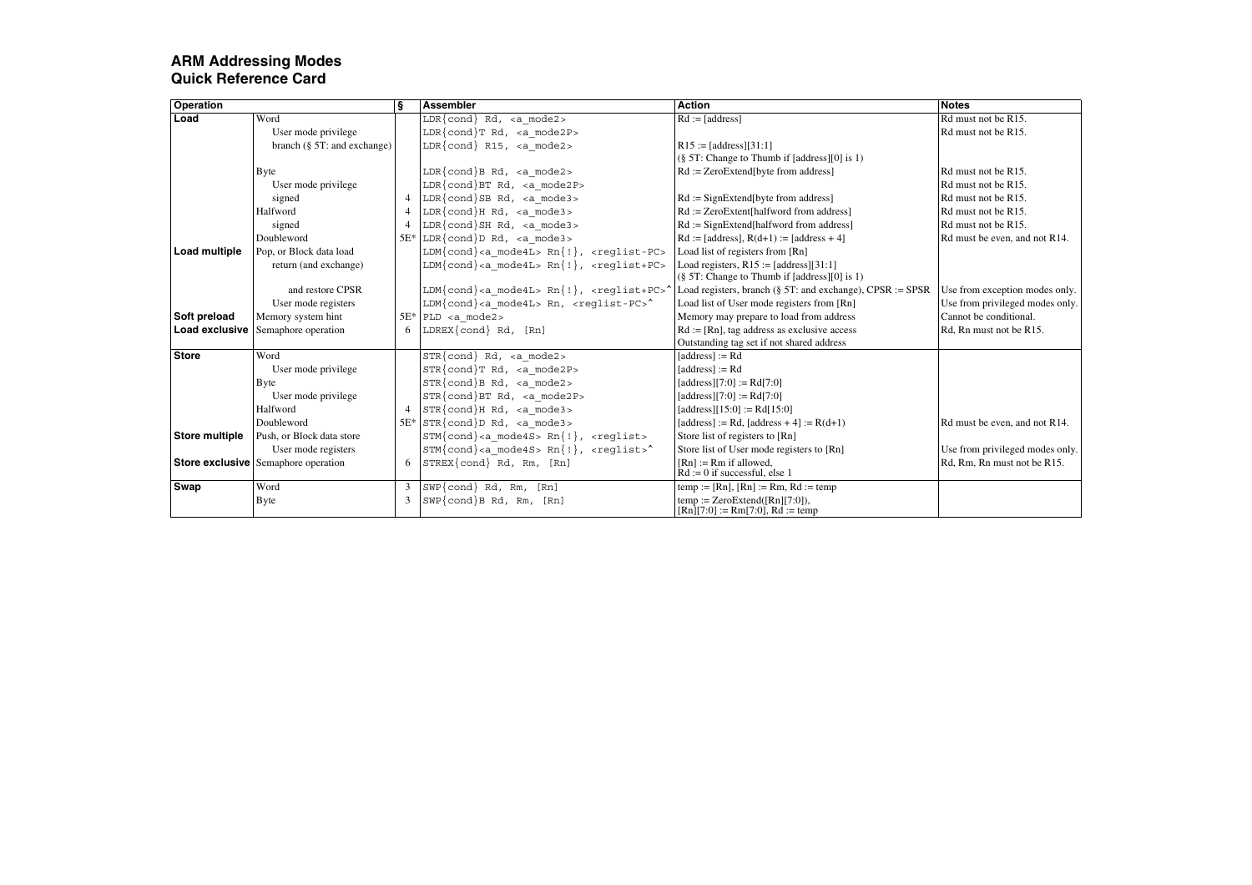| <b>Operation</b>      |                                            | ş              | <b>Assembler</b>                                                                 | <b>Action</b>                                                          | <b>Notes</b>                    |
|-----------------------|--------------------------------------------|----------------|----------------------------------------------------------------------------------|------------------------------------------------------------------------|---------------------------------|
| Load                  | Word                                       |                | $LDR{cond}$ Rd, <a mode2=""></a>                                                 | $Rd := [address]$                                                      | Rd must not be R15.             |
|                       | User mode privilege                        |                | $LDR{cond}T Rd$ , <a mode2p=""></a>                                              |                                                                        | Rd must not be R15.             |
|                       | branch $(\S 5T$ : and exchange)            |                | $LDR{cond}$ R15, <a mode2=""></a>                                                | $R15 := [address][31:1]$                                               |                                 |
|                       |                                            |                |                                                                                  | $(\S$ 5T: Change to Thumb if [address][0] is 1)                        |                                 |
|                       | <b>B</b> yte                               |                | $LDR{cond}B Rd,  mode2>$                                                         | $Rd := ZeroExtend[byte from address]$                                  | Rd must not be R15.             |
|                       | User mode privilege                        |                | $LDR{cond}BT Rd, $                                                               |                                                                        | Rd must not be R15.             |
|                       | signed                                     | $\overline{4}$ | $LDR{cond}SB Rd,  mode3>$                                                        | $Rd :=$ SignExtend [byte from address]                                 | Rd must not be R15.             |
|                       | Halfword                                   | 4              | $LDR{cond}$ $Rd$ , <a mode3=""></a>                                              | $Rd := ZeroExtent[halfword from address]$                              | Rd must not be R15.             |
|                       | signed                                     | $\overline{4}$ | $LDR{cond}SH Rd,  mode3>$                                                        | $Rd :=$ SignExtend[halfword from address]                              | Rd must not be R15.             |
|                       | Doubleword                                 | $5E*$          | $LDR{cond}D Rd,  mode3>$                                                         | $Rd := [address], R(d+1) := [address + 4]$                             | Rd must be even, and not R14.   |
| <b>Load multiple</b>  | Pop, or Block data load                    |                | $LDM{cond} < a$ mode4L> $Rn{!}, <$ reqlist-PC>                                   | Load list of registers from [Rn]                                       |                                 |
|                       | return (and exchange)                      |                | $LDM{cond} < a$ mode4L> $Rn{!}, <$ reqlist+PC>                                   | Load registers, $R15 := [address][31:1]$                               |                                 |
|                       |                                            |                |                                                                                  | $(\S$ 5T: Change to Thumb if [address][0] is 1)                        |                                 |
|                       | and restore CPSR                           |                | LDM{cond} <a mode4l=""> <math>Rn</math>{!}, <reqlist+pc></reqlist+pc></a>        | Load registers, branch (§ 5T: and exchange), CPSR := SPSR              | Use from exception modes only.  |
|                       | User mode registers                        |                | $LDM\{\text{cond}\}\text{ Rn, reglist-PC>^$                                      | Load list of User mode registers from [Rn]                             | Use from privileged modes only. |
| Soft preload          | Memory system hint                         | $5E*$          | PLD <a mode2=""></a>                                                             | Memory may prepare to load from address                                | Cannot be conditional.          |
| <b>Load exclusive</b> | Semaphore operation                        | 6              | $LDREX\{cond\}$ Rd, $[Rn]$                                                       | $Rd := [Rn]$ , tag address as exclusive access                         | Rd, Rn must not be R15.         |
|                       |                                            |                |                                                                                  | Outstanding tag set if not shared address                              |                                 |
| <b>Store</b>          | Word                                       |                | $STR{cond}$ $Rd$ , $ mode2>$                                                     | $[address] := Rd$                                                      |                                 |
|                       | User mode privilege                        |                | $STR{cond}T Rd, \le a mode2P$                                                    | $[address] := Rd$                                                      |                                 |
|                       | <b>Byte</b>                                |                | $STR\{cond\}B Rd, \text{ $                                                       | [address][7:0] := Rd[7:0]                                              |                                 |
|                       | User mode privilege                        |                | $STR\{cond\}$ BT Rd, <a mode2p=""></a>                                           | [address][7:0] := Rd[7:0]                                              |                                 |
|                       | Halfword                                   | $\overline{4}$ | $STR{cond}H Rd$ , <a mode3=""></a>                                               | [address][15:0] := Rd[15:0]                                            |                                 |
|                       | Doubleword                                 | $5E*$          | $STR{cond}$ $D$ Rd, <a mode3=""></a>                                             | [address] := Rd, [address + 4] := $R(d+1)$                             | Rd must be even, and not R14.   |
| <b>Store multiple</b> | Push, or Block data store                  |                | $STM\{\text{cond}\}$ <a mode4s=""> <math>Rn\{!\}</math>, <reqlist></reqlist></a> | Store list of registers to [Rn]                                        |                                 |
|                       | User mode registers                        |                | $STM\{\text{cond}\}\text{ mode4S> Rn\{\text{l}\}, \text{~creglist>}^*$           | Store list of User mode registers to [Rn]                              | Use from privileged modes only. |
|                       | <b>Store exclusive</b> Semaphore operation | 6              | STREX{cond} Rd, Rm, [Rn]                                                         | $[Rn] := Rm$ if allowed,<br>$Rd := 0$ if successful, else 1            | Rd, Rm, Rn must not be R15.     |
| Swap                  | Word                                       | 3              | $SWP{cond}$ Rd, Rm, $[Rn]$                                                       | temp := [Rn], [Rn] := Rm, Rd := temp                                   |                                 |
|                       | <b>Byte</b>                                | 3              | $SWP{cond}B Rd, Rm, [Rn]$                                                        | temp := $ZeroExtend([Rn][7:0]),$<br>$[Rn][7:0] := Rm[7:0], Rd := temp$ |                                 |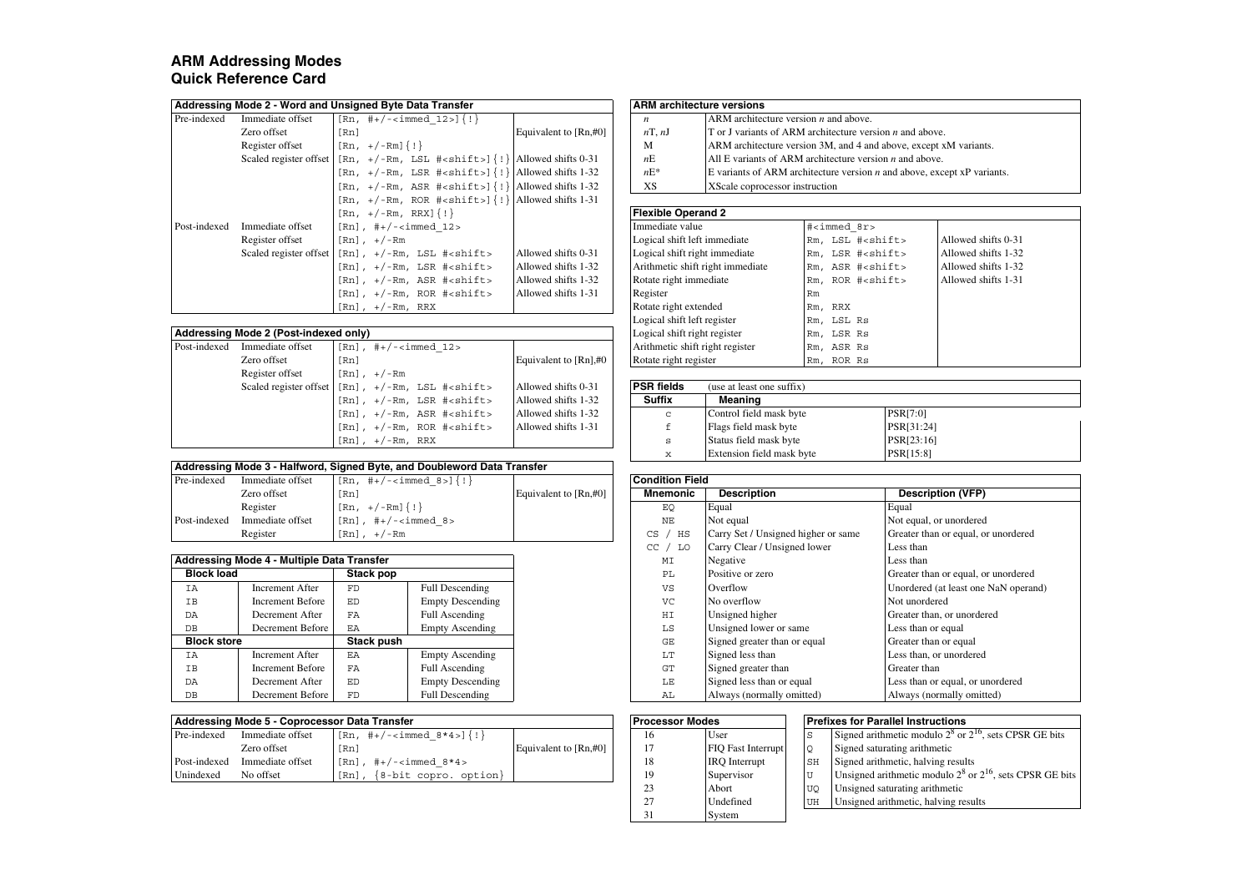| Addressing Mode 2 - Word and Unsigned Byte Data Transfer | <b>ARM</b> architecture versions |
|----------------------------------------------------------|----------------------------------|
|                                                          |                                  |

|              |                        | $\frac{1}{2}$                                               |                          |                                  |                                                              |         |                         |                           |  |
|--------------|------------------------|-------------------------------------------------------------|--------------------------|----------------------------------|--------------------------------------------------------------|---------|-------------------------|---------------------------|--|
| Pre-indexed  | Immediate offset       | $[Rn, #+/-immed 12]$ $\{! \}$                               |                          | $\boldsymbol{n}$                 | ARM architecture version $n$ and above.                      |         |                         |                           |  |
|              | Zero offset            | [Rn]                                                        | Equivalent to $[Rn, #0]$ | nT, nJ                           | T or J variants of ARM architecture version $n$ and above    |         |                         |                           |  |
|              | Register offset        | $[Rn, +/-Rm]$ $\{! \}$                                      |                          | M                                | ARM architecture version 3M, and 4 and above, except a       |         |                         |                           |  |
|              | Scaled register offset | $[Rn, +/-Rm, LSL #1]$   Allowed shifts 0-31                 |                          | nE                               | All E variants of ARM architecture version $n$ and above     |         |                         |                           |  |
|              |                        | $[Rn, +/-Rm, LSR +<>shift>](!) $ Allowed shifts 1-32        |                          | $nE^*$                           | E variants of ARM architecture version $n$ and above, excess |         |                         |                           |  |
|              |                        | $[\Rn, +/-Rm, ASR +<>shift>]{\{\n  \}}$ Allowed shifts 1-32 |                          | XS                               | XScale coprocessor instruction                               |         |                         |                           |  |
|              |                        | $[\Rn, +/-Rm, ROR +<>shift>]{\{! \} }$ Allowed shifts 1-31  |                          |                                  |                                                              |         |                         |                           |  |
|              |                        | $[Rn, +/-Rm, RRX]{ }$                                       |                          | <b>Flexible Operand 2</b>        |                                                              |         |                         |                           |  |
| Post-indexed | Immediate offset       | $[Rn]$ , #+/- <immed 12=""></immed>                         |                          | Immediate value                  |                                                              |         | # <immed 8r=""></immed> |                           |  |
|              | Register offset        | $\lceil Rn \rceil$ , $+/-Rm$                                |                          | Logical shift left immediate     |                                                              |         |                         | Rm, LSL # <shift></shift> |  |
|              | Scaled register offset | $[Rn]$ , $+/-Rm$ , LSL $\#$ <shift></shift>                 | Allowed shifts 0-31      | Logical shift right immediate    |                                                              |         |                         | Rm, LSR # <shift></shift> |  |
|              |                        | $[Rn]$ , $+/-Rm$ , LSR $\#$ <shift></shift>                 | Allowed shifts 1-32      | Arithmetic shift right immediate |                                                              |         |                         | Rm, ASR # <shift></shift> |  |
|              |                        | [Rn], +/-Rm, ASR # <shift></shift>                          | Allowed shifts 1-32      | Rotate right immediate           |                                                              |         |                         | Rm, ROR # <shift></shift> |  |
|              |                        | $[Rn]$ , $+/-Rm$ , ROR $#<$ shift>                          | Allowed shifts 1-31      | Register                         |                                                              | Rm      |                         |                           |  |
|              |                        | [Rn], +/-Rm, RRX                                            |                          | Rotate right extended            |                                                              | Rm, RRX |                         |                           |  |

#### **Addressing Mode 2 (Post-indexed only)**

| Post-indexed | Immediate offset | $[Rn]$ , #+/- <immed 12=""></immed>                                                             |                         |                       | Arithmetic shift right register | Rm, ASR Rs |  |
|--------------|------------------|-------------------------------------------------------------------------------------------------|-------------------------|-----------------------|---------------------------------|------------|--|
|              | Zero offset      | [Rn]                                                                                            | Equivalent to $[Rn]$ #0 | Rotate right register |                                 | Rm, ROR Rs |  |
|              | Register offset  | $[Rn]$ , $+/-Rm$                                                                                |                         |                       |                                 |            |  |
|              |                  | Scaled register offset $\lceil \text{Rn} \rceil$ , $+/-\text{Rm}$ , LSL $\# \le \text{shift} >$ | Allowed shifts 0-31     | <b>PSR</b> fields     | (use at least one suffix)       |            |  |
|              |                  | $[Rn]$ , $+/-Rm$ , LSR $\#$ <shift></shift>                                                     | Allowed shifts 1-32     | <b>Suffix</b>         | Meaning                         |            |  |
|              |                  | $[Rn]$ , $+/-Rm$ , ASR $\#$ <shift></shift>                                                     | Allowed shifts 1-32     | c                     | Control field mask byte         |            |  |
|              |                  | $[Rn]$ , $+/-Rm$ , ROR $\#$ <shift></shift>                                                     | Allowed shifts 1-31     |                       | Flags field mask byte           |            |  |
|              |                  | $[Rn]$ , $+/-Rm$ , RRX                                                                          |                         | s                     | Status field mask byte          |            |  |
|              |                  |                                                                                                 |                         |                       |                                 |            |  |

#### **Addressing Mode 3 - Halfword, Signed Byte, and Doubleword Data Transfer**

| Pre-indexed  | Immediate offset | $[Rn, #+/-<\text{immed } 8>]\{!\}$ |                          | <b>Condition Field</b> |                                     |       |
|--------------|------------------|------------------------------------|--------------------------|------------------------|-------------------------------------|-------|
|              | Zero offset      | [Rn]                               | Equivalent to $[Rn, #0]$ | <b>Mnemonic</b>        | <b>Description</b>                  | De    |
|              | Register         | $[Rn, +/-Rm]$ $\{! \}$             |                          | EQ                     | Equal                               | Equal |
| Post-indexed | Immediate offset | $[Rn]$ , #+/- <immed 8=""></immed> |                          | NE                     | Not equal                           | Not e |
|              | Register         | $[Rn]$ , $+/-Rm$                   |                          | CS<br>HS               | Carry Set / Unsigned higher or same | Great |

|                    | Addressing Mode 4 - Multiple Data Transfer |            |                         |
|--------------------|--------------------------------------------|------------|-------------------------|
| <b>Block load</b>  |                                            | Stack pop  |                         |
| IΑ                 | Increment After                            | <b>FD</b>  | Full Descending         |
| IΒ                 | Increment Before                           | ED.        | <b>Empty Descending</b> |
| DA                 | Decrement After                            | FA         | Full Ascending          |
| DB                 | Decrement Before                           | EA         | <b>Empty Ascending</b>  |
| <b>Block store</b> |                                            | Stack push |                         |
| ΙA                 | Increment After                            | <b>FA</b>  | <b>Empty Ascending</b>  |
| IΒ                 | Increment Before                           | FA         | Full Ascending          |
| DA                 | Decrement After                            | ED.        | <b>Empty Descending</b> |
| DB                 | Decrement Before                           | FD         | Full Descending         |

|              | Addressing Mode 5 - Coprocessor Data Transfer | <b>Processor Modes</b>                    |                       |    | Prefixes for Parallel Instructions |    |                                            |
|--------------|-----------------------------------------------|-------------------------------------------|-----------------------|----|------------------------------------|----|--------------------------------------------|
| Pre-indexed  | Immediate offset                              | $[Rn, #+/-]\{!\}$                         |                       |    | User                               | S  | Signed arithmetic modulo 2 <sup>°</sup> or |
|              | Zero offset                                   | 「Rn                                       | Equivalent to [Rn,#0] |    | <b>FIO</b> Fast Interrupt          | Q  | Signed saturating arithmetic               |
| Post-indexed | Immediate offset                              | [Rn]<br>, $\#$ +/- <immed 8*4=""></immed> |                       |    | <b>IRO</b> Interrupt               | SH | Signed arithmetic, halving resure          |
| Unindexed    | No offset                                     | ${8-bit copro. option}$<br>[Rn]           |                       | 10 | Supervisor                         |    | Unsigned arithmetic modulo 2 <sup>o</sup>  |

|                  | lode 2 - Word and Unsigned Byte Data Transfer                                                                                                                                                                                                                                                                                                                                                                          |                          |        | <b>ARM</b> architecture versions                                            |  |  |  |
|------------------|------------------------------------------------------------------------------------------------------------------------------------------------------------------------------------------------------------------------------------------------------------------------------------------------------------------------------------------------------------------------------------------------------------------------|--------------------------|--------|-----------------------------------------------------------------------------|--|--|--|
| Immediate offset | $\lceil \lceil \text{Rn}, \pm \rangle - \text{sumed } 12 \rangle \rceil \rceil$                                                                                                                                                                                                                                                                                                                                        |                          | n      | ARM architecture version $n$ and above.                                     |  |  |  |
| Zero offset      | [Rn]                                                                                                                                                                                                                                                                                                                                                                                                                   | Equivalent to $[Rn, #0]$ | nT, nJ | $\Gamma$ or J variants of ARM architecture version <i>n</i> and above.      |  |  |  |
| Register offset  | $[\text{Rn}, +/-\text{Rm}] \{ : \}$                                                                                                                                                                                                                                                                                                                                                                                    |                          | M      | ARM architecture version 3M, and 4 and above, except xM variants.           |  |  |  |
|                  | Scaled register offset $\left[ \text{Rn}, +/ - \text{Rm}, \text{LSL} \right]$ $\left[ \text{Rn} \right]$ $\left[ \text{Rn} \right]$                                                                                                                                                                                                                                                                                    |                          | nE     | All E variants of ARM architecture version $n$ and above.                   |  |  |  |
|                  | $\lceil \text{Rn}, + \text{/ -Rm}, \text{LSR } \nexists$ = $\text{Rn}$ = $\lceil \cdot \rceil$ = $\lceil \cdot \rceil$ = $\lceil \cdot \rceil$ = $\lceil \cdot \rceil$ = $\lceil \cdot \rceil$ = $\lceil \cdot \rceil$ = $\lceil \cdot \rceil$ = $\lceil \cdot \rceil$ = $\lceil \cdot \rceil$ = $\lceil \cdot \rceil$ = $\lceil \cdot \rceil$ = $\lceil \cdot \rceil$ = $\lceil \cdot \rceil$ = $\lceil \cdot \rceil$ |                          | $nE^*$ | E variants of ARM architecture version $n$ and above, except $xP$ variants. |  |  |  |
|                  | $\lceil \text{Rn}, + \rangle - \text{Rm}, \text{ASR } \nexists \text{shift>} \{ \cdot \} \text{} \}$                                                                                                                                                                                                                                                                                                                   |                          | XS     | XScale coprocessor instruction                                              |  |  |  |

#### **Flexible Operand 2**

| Immediate offset           | $[Rn]$ , #+/- <immed 12=""></immed>                                    |                         | Immediate value                  | # <i>immed</i> 8r>        |                     |
|----------------------------|------------------------------------------------------------------------|-------------------------|----------------------------------|---------------------------|---------------------|
| Register offset            | $[Rn]$ , $+/-Rm$                                                       |                         | Logical shift left immediate     | Rm, LSL # <shift></shift> | Allowed shifts 0-31 |
|                            | Scaled register offset $\lceil Rn \rceil$ , $+/-Rm$ , LSL $\#<$ shift> | Allowed shifts 0-31     | Logical shift right immediate    | Rm, LSR # <shift></shift> | Allowed shifts 1-32 |
|                            | $[Rn]$ , $+/-Rm$ , LSR $\#$ <shift></shift>                            | Allowed shifts 1-32     | Arithmetic shift right immediate | Rm, ASR # <shift></shift> | Allowed shifts 1-32 |
|                            | $[Rn]$ , $+/-Rm$ , ASR $\#$ <shift></shift>                            | Allowed shifts 1-32     | Rotate right immediate           | Rm, ROR # <shift></shift> | Allowed shifts 1-31 |
|                            | $[Rn]$ , $+/-Rm$ , ROR $\#$ <shift></shift>                            | Allowed shifts 1-31     | Register                         | Rm                        |                     |
|                            | $[Rn]$ , $+/-Rm$ , RRX                                                 |                         | Rotate right extended            | Rm, RRX                   |                     |
|                            |                                                                        |                         | Logical shift left register      | Rm, LSL Rs                |                     |
| lode 2 (Post-indexed only) |                                                                        |                         | Logical shift right register     | Rm, LSR Rs                |                     |
| Immediate offset           | $[Rn]$ , #+/- <immed 12=""></immed>                                    |                         | Arithmetic shift right register  | Rm, ASR Rs                |                     |
| Zero offset                | [Rn]                                                                   | Equivalent to $[Rn]$ #0 | Rotate right register            | Rm, ROR Rs                |                     |
|                            |                                                                        |                         |                                  |                           |                     |

| [Rn], +/-Rm, LSL # <shift></shift> | Allowed shifts 0-31 | <b>PSR</b> fields | (use at least one suffix)        |                  |
|------------------------------------|---------------------|-------------------|----------------------------------|------------------|
| [Rn], +/-Rm, LSR # <shift></shift> | Allowed shifts 1-32 | <b>Suffix</b>     | Meaning                          |                  |
| [Rn], +/-Rm, ASR # <shift></shift> | Allowed shifts 1-32 | $\sim$            | Control field mask byte          | <b>PSR[7:0]</b>  |
| [Rn], +/-Rm, ROR # <shift></shift> | Allowed shifts 1-31 |                   | Flags field mask byte            | PSR[31:24]       |
| $[Rn]$ , $+/-Rm$ , $RRX$           |                     |                   | Status field mask byte           | PSR[23:16]       |
|                                    |                     | 75.               | <b>Extension field mask byte</b> | <b>PSR[15:8]</b> |

| e-indexed                                 | Immediate offset        | $[Rn, #+/-<\text{immed } 8>](!)$   |                         |                       | <b>Condition Field</b>              |                                     |                                      |  |
|-------------------------------------------|-------------------------|------------------------------------|-------------------------|-----------------------|-------------------------------------|-------------------------------------|--------------------------------------|--|
|                                           | Zero offset             | [Rn]                               |                         | Equivalent to [Rn,#0] | <b>Mnemonic</b>                     | <b>Description</b>                  | <b>Description (VFP)</b>             |  |
|                                           | Register                | $[Rn, +/-Rm]$ $\{! \}$             |                         |                       | EQ                                  | Equal                               | Equal                                |  |
| st-indexed                                | Immediate offset        | $[Rn]$ , #+/- <immed 8=""></immed> |                         |                       | NΕ                                  | Not equal                           | Not equal, or unordered              |  |
|                                           | Register                | $[Rn]$ , $+/-Rm$                   |                         |                       | HS<br>CS                            | Carry Set / Unsigned higher or same | Greater than or equal, or unordered  |  |
|                                           |                         |                                    |                         |                       | LO<br>CC                            | Carry Clear / Unsigned lower        | Less than                            |  |
| Idressing Mode 4 - Multiple Data Transfer |                         |                                    |                         | MI                    | Negative                            | Less than                           |                                      |  |
| <b>Block load</b><br>Stack pop            |                         |                                    | PL                      | Positive or zero      | Greater than or equal, or unordered |                                     |                                      |  |
| IΑ                                        | <b>Increment After</b>  | FD                                 | Full Descending         |                       | VS                                  | Overflow                            | Unordered (at least one NaN operand) |  |
| IΒ                                        | <b>Increment Before</b> | ED                                 | <b>Empty Descending</b> |                       | VC                                  | No overflow                         | Not unordered                        |  |
| DA                                        | Decrement After         | FA                                 | Full Ascending          |                       | HI                                  | Unsigned higher                     | Greater than, or unordered           |  |
| DB                                        | Decrement Before        | EA                                 | <b>Empty Ascending</b>  |                       | $_{\rm LS}$                         | Unsigned lower or same              | Less than or equal                   |  |
| <b>Block store</b>                        |                         | <b>Stack push</b>                  |                         |                       | GE                                  | Signed greater than or equal        | Greater than or equal                |  |
| IΑ                                        | Increment After         | <b>F.A</b>                         | <b>Empty Ascending</b>  |                       | LT                                  | Signed less than                    | Less than, or unordered              |  |
| IΒ                                        | <b>Increment Before</b> | FA                                 | Full Ascending          |                       | GT                                  | Signed greater than                 | Greater than                         |  |
| DA                                        | Decrement After         | ED                                 | <b>Empty Descending</b> |                       | LE                                  | Signed less than or equal           | Less than or equal, or unordered     |  |
| DВ                                        | Decrement Before        | FD                                 | Full Descending         |                       | AL                                  | Always (normally omitted)           | Always (normally omitted)            |  |

| <b>Coprocessor Data Transfer</b> |                                               |                       |  | <b>Processor Modes</b> |                           | <b>Prefixes for Parallel Instructions</b> |                                                                  |
|----------------------------------|-----------------------------------------------|-----------------------|--|------------------------|---------------------------|-------------------------------------------|------------------------------------------------------------------|
| te offset                        | $[Rn, #+/-<\text{immed } 8*4>]\{!\}$          |                       |  | 16                     | User                      | S                                         | Signed arithmetic modulo $2^8$ or $2^{16}$ , sets CPSR GE bits   |
| set                              | [Rn]                                          | Equivalent to [Rn,#0] |  |                        | <b>FIO</b> Fast Interrupt |                                           | Signed saturating arithmetic                                     |
| te offset                        | $[Rn]$ , #+/- <immed <math="">8*4&gt;</immed> |                       |  | 18                     | <b>IRO</b> Interrupt      | SH                                        | Signed arithmetic, halving results                               |
|                                  | $[Rn]$ , $\{8-\text{bit copro. option}\}$     |                       |  | 19                     | Supervisor                |                                           | Unsigned arithmetic modulo $2^8$ or $2^{16}$ , sets CPSR GE bits |
|                                  |                                               |                       |  | 23                     | Abort                     | <b>UO</b>                                 | Unsigned saturating arithmetic                                   |
|                                  |                                               |                       |  | 27                     | Undefined                 | UH                                        | Unsigned arithmetic, halving results                             |
|                                  |                                               |                       |  | 31                     | System                    |                                           |                                                                  |